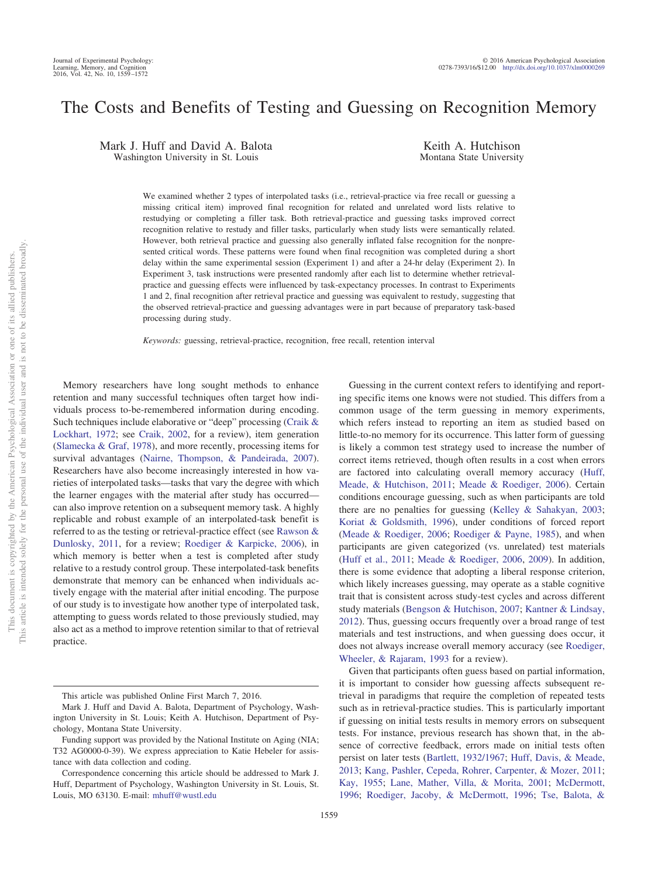# The Costs and Benefits of Testing and Guessing on Recognition Memory

Mark J. Huff and David A. Balota Washington University in St. Louis

Keith A. Hutchison Montana State University

We examined whether 2 types of interpolated tasks (i.e., retrieval-practice via free recall or guessing a missing critical item) improved final recognition for related and unrelated word lists relative to restudying or completing a filler task. Both retrieval-practice and guessing tasks improved correct recognition relative to restudy and filler tasks, particularly when study lists were semantically related. However, both retrieval practice and guessing also generally inflated false recognition for the nonpresented critical words. These patterns were found when final recognition was completed during a short delay within the same experimental session (Experiment 1) and after a 24-hr delay (Experiment 2). In Experiment 3, task instructions were presented randomly after each list to determine whether retrievalpractice and guessing effects were influenced by task-expectancy processes. In contrast to Experiments 1 and 2, final recognition after retrieval practice and guessing was equivalent to restudy, suggesting that the observed retrieval-practice and guessing advantages were in part because of preparatory task-based processing during study.

*Keywords:* guessing, retrieval-practice, recognition, free recall, retention interval

Memory researchers have long sought methods to enhance retention and many successful techniques often target how individuals process to-be-remembered information during encoding. Such techniques include elaborative or "deep" processing [\(Craik &](#page-12-0) [Lockhart, 1972;](#page-12-0) see [Craik, 2002,](#page-12-1) for a review), item generation [\(Slamecka & Graf, 1978\)](#page-13-0), and more recently, processing items for survival advantages [\(Nairne, Thompson, & Pandeirada, 2007\)](#page-13-1). Researchers have also become increasingly interested in how varieties of interpolated tasks—tasks that vary the degree with which the learner engages with the material after study has occurred can also improve retention on a subsequent memory task. A highly replicable and robust example of an interpolated-task benefit is referred to as the testing or retrieval-practice effect (see [Rawson &](#page-13-2) [Dunlosky, 2011,](#page-13-2) for a review; [Roediger & Karpicke, 2006\)](#page-13-3), in which memory is better when a test is completed after study relative to a restudy control group. These interpolated-task benefits demonstrate that memory can be enhanced when individuals actively engage with the material after initial encoding. The purpose of our study is to investigate how another type of interpolated task, attempting to guess words related to those previously studied, may also act as a method to improve retention similar to that of retrieval practice.

Guessing in the current context refers to identifying and reporting specific items one knows were not studied. This differs from a common usage of the term guessing in memory experiments, which refers instead to reporting an item as studied based on little-to-no memory for its occurrence. This latter form of guessing is likely a common test strategy used to increase the number of correct items retrieved, though often results in a cost when errors are factored into calculating overall memory accuracy [\(Huff,](#page-12-2) [Meade, & Hutchison, 2011;](#page-12-2) [Meade & Roediger, 2006\)](#page-13-4). Certain conditions encourage guessing, such as when participants are told there are no penalties for guessing [\(Kelley & Sahakyan, 2003;](#page-12-3) [Koriat & Goldsmith, 1996\)](#page-13-5), under conditions of forced report [\(Meade & Roediger, 2006;](#page-13-4) [Roediger & Payne, 1985\)](#page-13-6), and when participants are given categorized (vs. unrelated) test materials [\(Huff et al., 2011;](#page-12-2) [Meade & Roediger, 2006,](#page-13-4) [2009\)](#page-13-7). In addition, there is some evidence that adopting a liberal response criterion, which likely increases guessing, may operate as a stable cognitive trait that is consistent across study-test cycles and across different study materials [\(Bengson & Hutchison, 2007;](#page-12-4) [Kantner & Lindsay,](#page-12-5) [2012\)](#page-12-5). Thus, guessing occurs frequently over a broad range of test materials and test instructions, and when guessing does occur, it does not always increase overall memory accuracy (see [Roediger,](#page-13-8) [Wheeler, & Rajaram, 1993](#page-13-8) for a review).

Given that participants often guess based on partial information, it is important to consider how guessing affects subsequent retrieval in paradigms that require the completion of repeated tests such as in retrieval-practice studies. This is particularly important if guessing on initial tests results in memory errors on subsequent tests. For instance, previous research has shown that, in the absence of corrective feedback, errors made on initial tests often persist on later tests [\(Bartlett, 1932/1967;](#page-12-6) [Huff, Davis, & Meade,](#page-12-7) [2013;](#page-12-7) [Kang, Pashler, Cepeda, Rohrer, Carpenter, & Mozer, 2011;](#page-12-8) [Kay, 1955;](#page-12-9) [Lane, Mather, Villa, & Morita, 2001;](#page-13-9) [McDermott,](#page-13-10) [1996;](#page-13-10) [Roediger, Jacoby, & McDermott, 1996;](#page-13-11) [Tse, Balota, &](#page-13-12)

This article was published Online First March 7, 2016.

Mark J. Huff and David A. Balota, Department of Psychology, Washington University in St. Louis; Keith A. Hutchison, Department of Psychology, Montana State University.

Funding support was provided by the National Institute on Aging (NIA; T32 AG0000-0-39). We express appreciation to Katie Hebeler for assistance with data collection and coding.

Correspondence concerning this article should be addressed to Mark J. Huff, Department of Psychology, Washington University in St. Louis, St. Louis, MO 63130. E-mail: [mhuff@wustl.edu](mailto:mhuff@wustl.edu)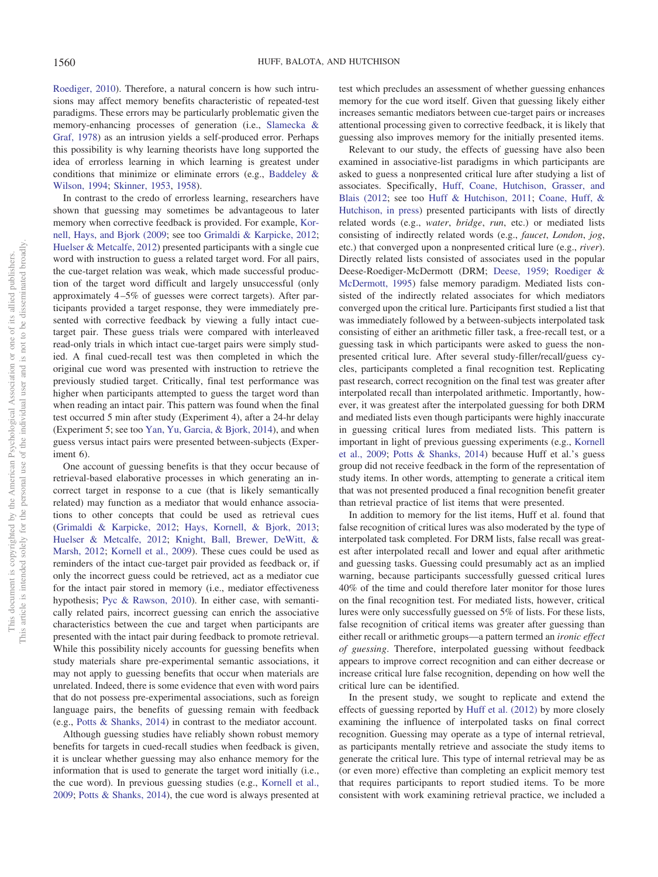[Roediger, 2010\)](#page-13-12). Therefore, a natural concern is how such intrusions may affect memory benefits characteristic of repeated-test paradigms. These errors may be particularly problematic given the memory-enhancing processes of generation (i.e., [Slamecka &](#page-13-0) [Graf, 1978\)](#page-13-0) as an intrusion yields a self-produced error. Perhaps this possibility is why learning theorists have long supported the idea of errorless learning in which learning is greatest under conditions that minimize or eliminate errors (e.g., [Baddeley &](#page-12-10) [Wilson, 1994;](#page-12-10) [Skinner, 1953,](#page-13-13) [1958\)](#page-13-14).

In contrast to the credo of errorless learning, researchers have shown that guessing may sometimes be advantageous to later memory when corrective feedback is provided. For example, [Kor](#page-13-15)[nell, Hays, and Bjork \(2009;](#page-13-15) see too [Grimaldi & Karpicke, 2012;](#page-12-11) [Huelser & Metcalfe, 2012\)](#page-12-12) presented participants with a single cue word with instruction to guess a related target word. For all pairs, the cue-target relation was weak, which made successful production of the target word difficult and largely unsuccessful (only approximately 4 –5% of guesses were correct targets). After participants provided a target response, they were immediately presented with corrective feedback by viewing a fully intact cuetarget pair. These guess trials were compared with interleaved read-only trials in which intact cue-target pairs were simply studied. A final cued-recall test was then completed in which the original cue word was presented with instruction to retrieve the previously studied target. Critically, final test performance was higher when participants attempted to guess the target word than when reading an intact pair. This pattern was found when the final test occurred 5 min after study (Experiment 4), after a 24-hr delay (Experiment 5; see too [Yan, Yu, Garcia, & Bjork, 2014\)](#page-13-16), and when guess versus intact pairs were presented between-subjects (Experiment 6).

One account of guessing benefits is that they occur because of retrieval-based elaborative processes in which generating an incorrect target in response to a cue (that is likely semantically related) may function as a mediator that would enhance associations to other concepts that could be used as retrieval cues [\(Grimaldi & Karpicke, 2012;](#page-12-11) [Hays, Kornell, & Bjork, 2013;](#page-12-13) [Huelser & Metcalfe, 2012;](#page-12-12) [Knight, Ball, Brewer, DeWitt, &](#page-12-14) [Marsh, 2012;](#page-12-14) [Kornell et al., 2009\)](#page-13-15). These cues could be used as reminders of the intact cue-target pair provided as feedback or, if only the incorrect guess could be retrieved, act as a mediator cue for the intact pair stored in memory (i.e., mediator effectiveness hypothesis; [Pyc & Rawson, 2010\)](#page-13-17). In either case, with semantically related pairs, incorrect guessing can enrich the associative characteristics between the cue and target when participants are presented with the intact pair during feedback to promote retrieval. While this possibility nicely accounts for guessing benefits when study materials share pre-experimental semantic associations, it may not apply to guessing benefits that occur when materials are unrelated. Indeed, there is some evidence that even with word pairs that do not possess pre-experimental associations, such as foreign language pairs, the benefits of guessing remain with feedback (e.g., [Potts & Shanks, 2014\)](#page-13-18) in contrast to the mediator account.

Although guessing studies have reliably shown robust memory benefits for targets in cued-recall studies when feedback is given, it is unclear whether guessing may also enhance memory for the information that is used to generate the target word initially (i.e., the cue word). In previous guessing studies (e.g., [Kornell et al.,](#page-13-15) [2009;](#page-13-15) [Potts & Shanks, 2014\)](#page-13-18), the cue word is always presented at test which precludes an assessment of whether guessing enhances memory for the cue word itself. Given that guessing likely either increases semantic mediators between cue-target pairs or increases attentional processing given to corrective feedback, it is likely that guessing also improves memory for the initially presented items.

Relevant to our study, the effects of guessing have also been examined in associative-list paradigms in which participants are asked to guess a nonpresented critical lure after studying a list of associates. Specifically, [Huff, Coane, Hutchison, Grasser, and](#page-12-15) [Blais \(2012;](#page-12-15) see too [Huff & Hutchison, 2011;](#page-12-16) [Coane, Huff, &](#page-12-17) [Hutchison, in press\)](#page-12-17) presented participants with lists of directly related words (e.g., *water*, *bridge*, *run*, etc.) or mediated lists consisting of indirectly related words (e.g., *faucet*, *London*, *jog*, etc.) that converged upon a nonpresented critical lure (e.g., *river*). Directly related lists consisted of associates used in the popular Deese-Roediger-McDermott (DRM; [Deese, 1959;](#page-12-18) [Roediger &](#page-13-19) [McDermott, 1995\)](#page-13-19) false memory paradigm. Mediated lists consisted of the indirectly related associates for which mediators converged upon the critical lure. Participants first studied a list that was immediately followed by a between-subjects interpolated task consisting of either an arithmetic filler task, a free-recall test, or a guessing task in which participants were asked to guess the nonpresented critical lure. After several study-filler/recall/guess cycles, participants completed a final recognition test. Replicating past research, correct recognition on the final test was greater after interpolated recall than interpolated arithmetic. Importantly, however, it was greatest after the interpolated guessing for both DRM and mediated lists even though participants were highly inaccurate in guessing critical lures from mediated lists. This pattern is important in light of previous guessing experiments (e.g., [Kornell](#page-13-15) [et al., 2009;](#page-13-15) [Potts & Shanks, 2014\)](#page-13-18) because Huff et al.'s guess group did not receive feedback in the form of the representation of study items. In other words, attempting to generate a critical item that was not presented produced a final recognition benefit greater than retrieval practice of list items that were presented.

In addition to memory for the list items, Huff et al. found that false recognition of critical lures was also moderated by the type of interpolated task completed. For DRM lists, false recall was greatest after interpolated recall and lower and equal after arithmetic and guessing tasks. Guessing could presumably act as an implied warning, because participants successfully guessed critical lures 40% of the time and could therefore later monitor for those lures on the final recognition test. For mediated lists, however, critical lures were only successfully guessed on 5% of lists. For these lists, false recognition of critical items was greater after guessing than either recall or arithmetic groups—a pattern termed an *ironic effect of guessing*. Therefore, interpolated guessing without feedback appears to improve correct recognition and can either decrease or increase critical lure false recognition, depending on how well the critical lure can be identified.

In the present study, we sought to replicate and extend the effects of guessing reported by [Huff et al. \(2012\)](#page-12-15) by more closely examining the influence of interpolated tasks on final correct recognition. Guessing may operate as a type of internal retrieval, as participants mentally retrieve and associate the study items to generate the critical lure. This type of internal retrieval may be as (or even more) effective than completing an explicit memory test that requires participants to report studied items. To be more consistent with work examining retrieval practice, we included a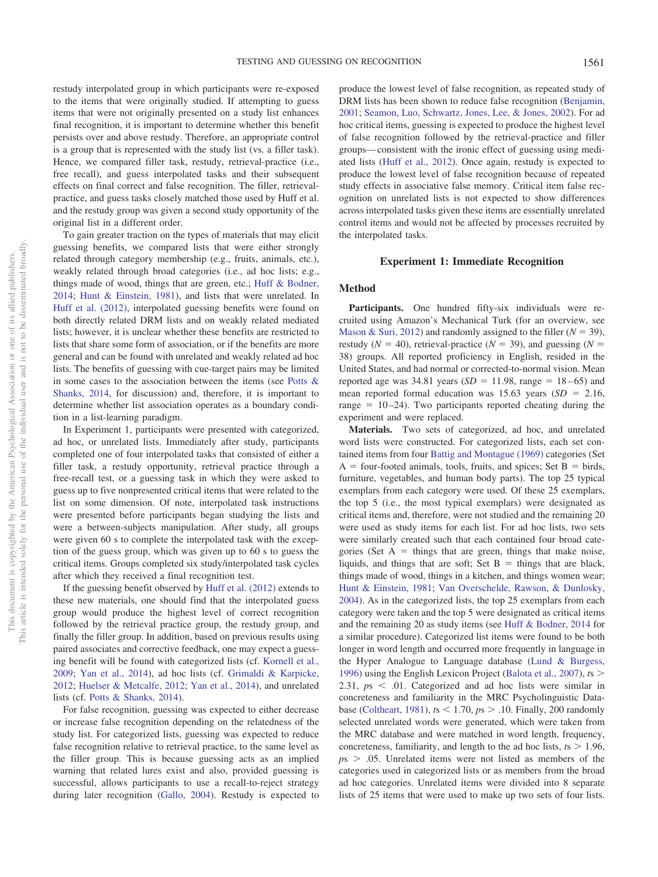restudy interpolated group in which participants were re-exposed to the items that were originally studied. If attempting to guess items that were not originally presented on a study list enhances final recognition, it is important to determine whether this benefit persists over and above restudy. Therefore, an appropriate control is a group that is represented with the study list (vs. a filler task). Hence, we compared filler task, restudy, retrieval-practice (i.e., free recall), and guess interpolated tasks and their subsequent effects on final correct and false recognition. The filler, retrievalpractice, and guess tasks closely matched those used by Huff et al. and the restudy group was given a second study opportunity of the original list in a different order.

To gain greater traction on the types of materials that may elicit guessing benefits, we compared lists that were either strongly related through category membership (e.g., fruits, animals, etc.), weakly related through broad categories (i.e., ad hoc lists; e.g., things made of wood, things that are green, etc.; [Huff & Bodner,](#page-12-19) [2014;](#page-12-19) [Hunt & Einstein, 1981\)](#page-12-20), and lists that were unrelated. In [Huff et al. \(2012\),](#page-12-15) interpolated guessing benefits were found on both directly related DRM lists and on weakly related mediated lists; however, it is unclear whether these benefits are restricted to lists that share some form of association, or if the benefits are more general and can be found with unrelated and weakly related ad hoc lists. The benefits of guessing with cue-target pairs may be limited in some cases to the association between the items (see [Potts &](#page-13-18) [Shanks, 2014,](#page-13-18) for discussion) and, therefore, it is important to determine whether list association operates as a boundary condition in a list-learning paradigm.

In Experiment 1, participants were presented with categorized, ad hoc, or unrelated lists. Immediately after study, participants completed one of four interpolated tasks that consisted of either a filler task, a restudy opportunity, retrieval practice through a free-recall test, or a guessing task in which they were asked to guess up to five nonpresented critical items that were related to the list on some dimension. Of note, interpolated task instructions were presented before participants began studying the lists and were a between-subjects manipulation. After study, all groups were given 60 s to complete the interpolated task with the exception of the guess group, which was given up to 60 s to guess the critical items. Groups completed six study/interpolated task cycles after which they received a final recognition test.

If the guessing benefit observed by [Huff et al. \(2012\)](#page-12-15) extends to these new materials, one should find that the interpolated guess group would produce the highest level of correct recognition followed by the retrieval practice group, the restudy group, and finally the filler group. In addition, based on previous results using paired associates and corrective feedback, one may expect a guessing benefit will be found with categorized lists (cf. [Kornell et al.,](#page-13-15) [2009;](#page-13-15) [Yan et al., 2014\)](#page-13-16), ad hoc lists (cf. [Grimaldi & Karpicke,](#page-12-11) [2012;](#page-12-11) [Huelser & Metcalfe, 2012;](#page-12-12) [Yan et al., 2014\)](#page-13-16), and unrelated lists (cf. [Potts & Shanks, 2014\)](#page-13-18).

For false recognition, guessing was expected to either decrease or increase false recognition depending on the relatedness of the study list. For categorized lists, guessing was expected to reduce false recognition relative to retrieval practice, to the same level as the filler group. This is because guessing acts as an implied warning that related lures exist and also, provided guessing is successful, allows participants to use a recall-to-reject strategy during later recognition [\(Gallo, 2004\)](#page-12-21). Restudy is expected to

produce the lowest level of false recognition, as repeated study of DRM lists has been shown to reduce false recognition [\(Benjamin,](#page-12-22) [2001;](#page-12-22) [Seamon, Luo, Schwartz, Jones, Lee, & Jones, 2002\)](#page-13-20). For ad hoc critical items, guessing is expected to produce the highest level of false recognition followed by the retrieval-practice and filler groups— consistent with the ironic effect of guessing using mediated lists [\(Huff et al., 2012\)](#page-12-15). Once again, restudy is expected to produce the lowest level of false recognition because of repeated study effects in associative false memory. Critical item false recognition on unrelated lists is not expected to show differences across interpolated tasks given these items are essentially unrelated control items and would not be affected by processes recruited by the interpolated tasks.

## **Experiment 1: Immediate Recognition**

## **Method**

**Participants.** One hundred fifty-six individuals were recruited using Amazon's Mechanical Turk (for an overview, see [Mason & Suri, 2012\)](#page-13-21) and randomly assigned to the filler ( $N = 39$ ), restudy ( $N = 40$ ), retrieval-practice ( $N = 39$ ), and guessing ( $N =$ 38) groups. All reported proficiency in English, resided in the United States, and had normal or corrected-to-normal vision. Mean reported age was  $34.81$  years  $(SD = 11.98, \text{ range} = 18-65)$  and mean reported formal education was  $15.63$  years  $(SD = 2.16,$ range  $= 10-24$ ). Two participants reported cheating during the experiment and were replaced.

**Materials.** Two sets of categorized, ad hoc, and unrelated word lists were constructed. For categorized lists, each set contained items from four [Battig and Montague \(1969\)](#page-12-23) categories (Set  $A =$  four-footed animals, tools, fruits, and spices; Set  $B =$  birds, furniture, vegetables, and human body parts). The top 25 typical exemplars from each category were used. Of these 25 exemplars, the top 5 (i.e., the most typical exemplars) were designated as critical items and, therefore, were not studied and the remaining 20 were used as study items for each list. For ad hoc lists, two sets were similarly created such that each contained four broad categories (Set  $A =$  things that are green, things that make noise, liquids, and things that are soft; Set  $B =$  things that are black, things made of wood, things in a kitchen, and things women wear; [Hunt & Einstein, 1981;](#page-12-20) [Van Overschelde, Rawson, & Dunlosky,](#page-13-22) [2004\)](#page-13-22). As in the categorized lists, the top 25 exemplars from each category were taken and the top 5 were designated as critical items and the remaining 20 as study items (see [Huff & Bodner, 2014](#page-12-19) for a similar procedure). Categorized list items were found to be both longer in word length and occurred more frequently in language in the Hyper Analogue to Language database [\(Lund & Burgess,](#page-13-23) [1996\)](#page-13-23) using the English Lexicon Project [\(Balota et al., 2007\)](#page-12-24), *t*s 2.31,  $ps < .01$ . Categorized and ad hoc lists were similar in concreteness and familiarity in the MRC Psycholinguistic Database [\(Coltheart, 1981\)](#page-12-25), *t*s 1.70, *p*s .10. Finally, 200 randomly selected unrelated words were generated, which were taken from the MRC database and were matched in word length, frequency, concreteness, familiarity, and length to the ad hoc lists,  $t_s > 1.96$ ,  $p<sub>5</sub> > .05$ . Unrelated items were not listed as members of the categories used in categorized lists or as members from the broad ad hoc categories. Unrelated items were divided into 8 separate lists of 25 items that were used to make up two sets of four lists.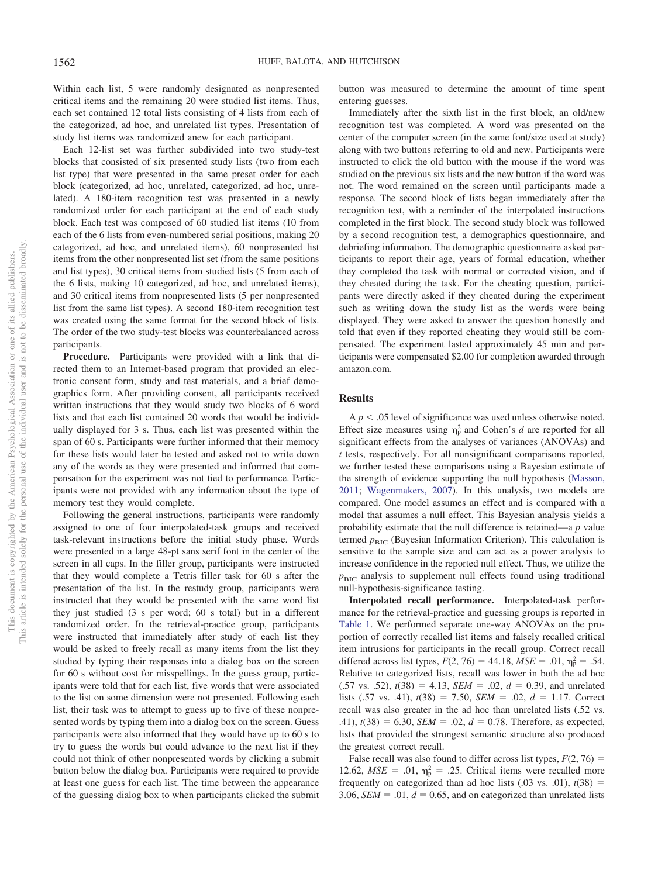Within each list, 5 were randomly designated as nonpresented critical items and the remaining 20 were studied list items. Thus, each set contained 12 total lists consisting of 4 lists from each of the categorized, ad hoc, and unrelated list types. Presentation of study list items was randomized anew for each participant.

Each 12-list set was further subdivided into two study-test blocks that consisted of six presented study lists (two from each list type) that were presented in the same preset order for each block (categorized, ad hoc, unrelated, categorized, ad hoc, unrelated). A 180-item recognition test was presented in a newly randomized order for each participant at the end of each study block. Each test was composed of 60 studied list items (10 from each of the 6 lists from even-numbered serial positions, making 20 categorized, ad hoc, and unrelated items), 60 nonpresented list items from the other nonpresented list set (from the same positions and list types), 30 critical items from studied lists (5 from each of the 6 lists, making 10 categorized, ad hoc, and unrelated items), and 30 critical items from nonpresented lists (5 per nonpresented list from the same list types). A second 180-item recognition test was created using the same format for the second block of lists. The order of the two study-test blocks was counterbalanced across participants.

**Procedure.** Participants were provided with a link that directed them to an Internet-based program that provided an electronic consent form, study and test materials, and a brief demographics form. After providing consent, all participants received written instructions that they would study two blocks of 6 word lists and that each list contained 20 words that would be individually displayed for 3 s. Thus, each list was presented within the span of 60 s. Participants were further informed that their memory for these lists would later be tested and asked not to write down any of the words as they were presented and informed that compensation for the experiment was not tied to performance. Participants were not provided with any information about the type of memory test they would complete.

Following the general instructions, participants were randomly assigned to one of four interpolated-task groups and received task-relevant instructions before the initial study phase. Words were presented in a large 48-pt sans serif font in the center of the screen in all caps. In the filler group, participants were instructed that they would complete a Tetris filler task for 60 s after the presentation of the list. In the restudy group, participants were instructed that they would be presented with the same word list they just studied (3 s per word; 60 s total) but in a different randomized order. In the retrieval-practice group, participants were instructed that immediately after study of each list they would be asked to freely recall as many items from the list they studied by typing their responses into a dialog box on the screen for 60 s without cost for misspellings. In the guess group, participants were told that for each list, five words that were associated to the list on some dimension were not presented. Following each list, their task was to attempt to guess up to five of these nonpresented words by typing them into a dialog box on the screen. Guess participants were also informed that they would have up to 60 s to try to guess the words but could advance to the next list if they could not think of other nonpresented words by clicking a submit button below the dialog box. Participants were required to provide at least one guess for each list. The time between the appearance of the guessing dialog box to when participants clicked the submit button was measured to determine the amount of time spent entering guesses.

Immediately after the sixth list in the first block, an old/new recognition test was completed. A word was presented on the center of the computer screen (in the same font/size used at study) along with two buttons referring to old and new. Participants were instructed to click the old button with the mouse if the word was studied on the previous six lists and the new button if the word was not. The word remained on the screen until participants made a response. The second block of lists began immediately after the recognition test, with a reminder of the interpolated instructions completed in the first block. The second study block was followed by a second recognition test, a demographics questionnaire, and debriefing information. The demographic questionnaire asked participants to report their age, years of formal education, whether they completed the task with normal or corrected vision, and if they cheated during the task. For the cheating question, participants were directly asked if they cheated during the experiment such as writing down the study list as the words were being displayed. They were asked to answer the question honestly and told that even if they reported cheating they would still be compensated. The experiment lasted approximately 45 min and participants were compensated \$2.00 for completion awarded through amazon.com.

## **Results**

 $A p < .05$  level of significance was used unless otherwise noted. Effect size measures using  $\eta_p^2$  and Cohen's *d* are reported for all significant effects from the analyses of variances (ANOVAs) and *t* tests, respectively. For all nonsignificant comparisons reported, we further tested these comparisons using a Bayesian estimate of the strength of evidence supporting the null hypothesis [\(Masson,](#page-13-24) [2011;](#page-13-24) [Wagenmakers, 2007\)](#page-13-25). In this analysis, two models are compared. One model assumes an effect and is compared with a model that assumes a null effect. This Bayesian analysis yields a probability estimate that the null difference is retained—a *p* value termed  $p<sub>BIC</sub>$  (Bayesian Information Criterion). This calculation is sensitive to the sample size and can act as a power analysis to increase confidence in the reported null effect. Thus, we utilize the  $p<sub>BIC</sub>$  analysis to supplement null effects found using traditional null-hypothesis-significance testing.

**Interpolated recall performance.** Interpolated-task performance for the retrieval-practice and guessing groups is reported in [Table 1.](#page-4-0) We performed separate one-way ANOVAs on the proportion of correctly recalled list items and falsely recalled critical item intrusions for participants in the recall group. Correct recall differed across list types,  $F(2, 76) = 44.18$ ,  $MSE = .01$ ,  $\eta_p^2 = .54$ . Relative to categorized lists, recall was lower in both the ad hoc  $(.57 \text{ vs. } .52), t(38) = 4.13, \text{ SEM} = .02, d = 0.39, \text{ and unrelated}$ lists  $(.57 \text{ vs. } .41)$ ,  $t(38) = 7.50$ ,  $SEM = .02$ ,  $d = 1.17$ . Correct recall was also greater in the ad hoc than unrelated lists (.52 vs. .41),  $t(38) = 6.30$ , *SEM* = .02,  $d = 0.78$ . Therefore, as expected, lists that provided the strongest semantic structure also produced the greatest correct recall.

False recall was also found to differ across list types,  $F(2, 76) =$ 12.62,  $MSE = .01$ ,  $\eta_p^2 = .25$ . Critical items were recalled more frequently on categorized than ad hoc lists  $(.03 \text{ vs. } .01)$ ,  $t(38)$  = 3.06, *SEM* = .01,  $d = 0.65$ , and on categorized than unrelated lists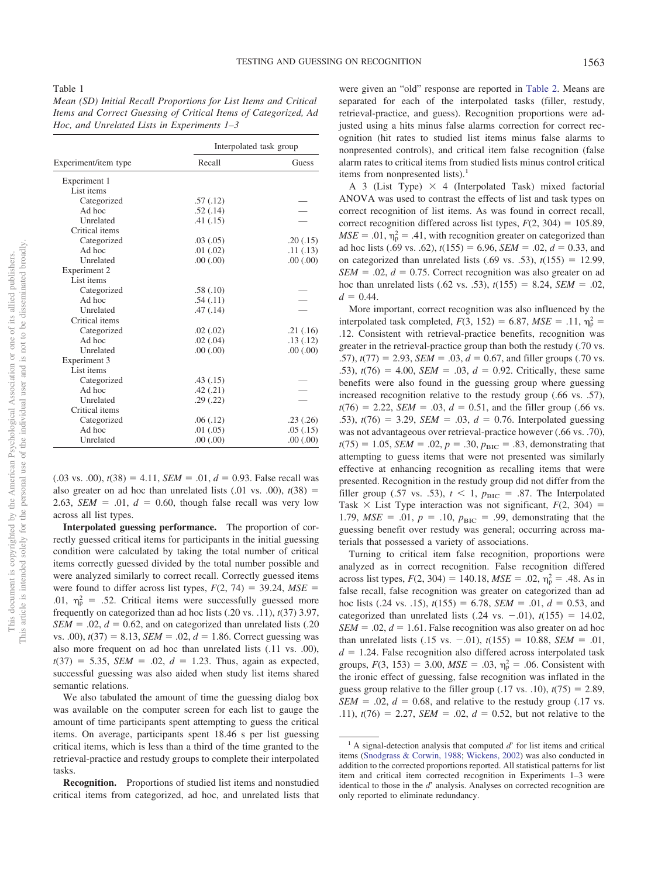<span id="page-4-0"></span>Table 1

*Mean (SD) Initial Recall Proportions for List Items and Critical Items and Correct Guessing of Critical Items of Categorized, Ad Hoc, and Unrelated Lists in Experiments 1–3*

|                      |           | Interpolated task group |  |  |
|----------------------|-----------|-------------------------|--|--|
| Experiment/item type | Recall    | Guess                   |  |  |
| Experiment 1         |           |                         |  |  |
| List items           |           |                         |  |  |
| Categorized          | .57(.12)  |                         |  |  |
| Ad hoc               | .52(.14)  |                         |  |  |
| Unrelated            | .41(.15)  |                         |  |  |
| Critical items       |           |                         |  |  |
| Categorized          | .03(.05)  | .20(0.15)               |  |  |
| Ad hoc               | .01(.02)  | .11(.13)                |  |  |
| Unrelated            | .00(.00)  | .00(.00)                |  |  |
| Experiment 2         |           |                         |  |  |
| List items           |           |                         |  |  |
| Categorized          | .58(.10)  |                         |  |  |
| Ad hoc               | .54(.11)  |                         |  |  |
| Unrelated            | .47(.14)  |                         |  |  |
| Critical items       |           |                         |  |  |
| Categorized          | .02(0.02) | .21(.16)                |  |  |
| Ad hoc               | .02(.04)  | .13(.12)                |  |  |
| Unrelated            | .00(.00)  | .00(.00)                |  |  |
| Experiment 3         |           |                         |  |  |
| List items           |           |                         |  |  |
| Categorized          | .43(.15)  |                         |  |  |
| Ad hoc               | .42(.21)  |                         |  |  |
| Unrelated            | .29(.22)  |                         |  |  |
| Critical items       |           |                         |  |  |
| Categorized          | .06(.12)  | .23(.26)                |  |  |
| Ad hoc               | .01(0.05) | .05(0.15)               |  |  |
| Unrelated            | .00(.00)  | .00(.00)                |  |  |

 $(.03 \text{ vs. } .00)$ ,  $t(38) = 4.11$ ,  $SEM = .01$ ,  $d = 0.93$ . False recall was also greater on ad hoc than unrelated lists  $(.01 \text{ vs. } .00)$ ,  $t(38)$  = 2.63, *SEM* = .01,  $d = 0.60$ , though false recall was very low across all list types.

**Interpolated guessing performance.** The proportion of correctly guessed critical items for participants in the initial guessing condition were calculated by taking the total number of critical items correctly guessed divided by the total number possible and were analyzed similarly to correct recall. Correctly guessed items were found to differ across list types,  $F(2, 74) = 39.24$ ,  $MSE =$ .01,  $\eta_{\rm p}^2$  = .52. Critical items were successfully guessed more frequently on categorized than ad hoc lists (.20 vs. .11), *t*(37) 3.97,  $SEM = .02$ ,  $d = 0.62$ , and on categorized than unrelated lists  $(.20$ vs.  $.00$ ,  $t(37) = 8.13$ ,  $SEM = .02$ ,  $d = 1.86$ . Correct guessing was also more frequent on ad hoc than unrelated lists (.11 vs. .00),  $t(37) = 5.35$ , *SEM* = .02,  $d = 1.23$ . Thus, again as expected, successful guessing was also aided when study list items shared semantic relations.

We also tabulated the amount of time the guessing dialog box was available on the computer screen for each list to gauge the amount of time participants spent attempting to guess the critical items. On average, participants spent 18.46 s per list guessing critical items, which is less than a third of the time granted to the retrieval-practice and restudy groups to complete their interpolated tasks.

**Recognition.** Proportions of studied list items and nonstudied critical items from categorized, ad hoc, and unrelated lists that

were given an "old" response are reported in [Table 2.](#page-5-0) Means are separated for each of the interpolated tasks (filler, restudy, retrieval-practice, and guess). Recognition proportions were adjusted using a hits minus false alarms correction for correct recognition (hit rates to studied list items minus false alarms to nonpresented controls), and critical item false recognition (false alarm rates to critical items from studied lists minus control critical items from nonpresented lists). $<sup>1</sup>$ </sup>

A 3 (List Type)  $\times$  4 (Interpolated Task) mixed factorial ANOVA was used to contrast the effects of list and task types on correct recognition of list items. As was found in correct recall, correct recognition differed across list types,  $F(2, 304) = 105.89$ ,  $MSE = .01$ ,  $\eta_p^2 = .41$ , with recognition greater on categorized than ad hoc lists (.69 vs. .62),  $t(155) = 6.96$ ,  $SEM = .02$ ,  $d = 0.33$ , and on categorized than unrelated lists  $(.69 \text{ vs. } .53)$ ,  $t(155) = 12.99$ ,  $SEM = .02$ ,  $d = 0.75$ . Correct recognition was also greater on ad hoc than unrelated lists (.62 vs. .53),  $t(155) = 8.24$ , *SEM* = .02,  $d = 0.44$ .

More important, correct recognition was also influenced by the interpolated task completed,  $F(3, 152) = 6.87$ ,  $MSE = .11$ ,  $\eta_p^2 =$ .12. Consistent with retrieval-practice benefits, recognition was greater in the retrieval-practice group than both the restudy (.70 vs. .57),  $t(77) = 2.93$ ,  $SEM = .03$ ,  $d = 0.67$ , and filler groups (.70 vs. .53),  $t(76) = 4.00$ , *SEM* = .03,  $d = 0.92$ . Critically, these same benefits were also found in the guessing group where guessing increased recognition relative to the restudy group (.66 vs. .57),  $t(76) = 2.22$ , *SEM* = .03,  $d = 0.51$ , and the filler group (.66 vs. .53),  $t(76) = 3.29$ , *SEM* = .03,  $d = 0.76$ . Interpolated guessing was not advantageous over retrieval-practice however (.66 vs. .70),  $t(75) = 1.05$ , *SEM* = .02,  $p = .30$ ,  $p_{BIC} = .83$ , demonstrating that attempting to guess items that were not presented was similarly effective at enhancing recognition as recalling items that were presented. Recognition in the restudy group did not differ from the filler group (.57 vs. .53),  $t < 1$ ,  $p_{\text{BIC}} = .87$ . The Interpolated Task  $\times$  List Type interaction was not significant,  $F(2, 304) =$ 1.79,  $MSE = .01$ ,  $p = .10$ ,  $p_{BIC} = .99$ , demonstrating that the guessing benefit over restudy was general; occurring across materials that possessed a variety of associations.

Turning to critical item false recognition, proportions were analyzed as in correct recognition. False recognition differed across list types,  $F(2, 304) = 140.18$ ,  $MSE = .02$ ,  $\eta_p^2 = .48$ . As in false recall, false recognition was greater on categorized than ad hoc lists (.24 vs. .15),  $t(155) = 6.78$ , *SEM* = .01,  $d = 0.53$ , and categorized than unrelated lists  $(.24 \text{ vs. } -.01)$ ,  $t(155) = 14.02$ ,  $SEM = .02$ ,  $d = 1.61$ . False recognition was also greater on ad hoc than unrelated lists  $(.15 \text{ vs. } -.01)$ ,  $t(155) = 10.88$ , *SEM* = .01,  $d = 1.24$ . False recognition also differed across interpolated task groups,  $F(3, 153) = 3.00$ ,  $MSE = .03$ ,  $\eta_p^2 = .06$ . Consistent with the ironic effect of guessing, false recognition was inflated in the guess group relative to the filler group  $(.17 \text{ vs. } .10)$ ,  $t(75) = 2.89$ ,  $SEM = .02$ ,  $d = 0.68$ , and relative to the restudy group (.17 vs. .11),  $t(76) = 2.27$ , *SEM* = .02,  $d = 0.52$ , but not relative to the

<sup>&</sup>lt;sup>1</sup> A signal-detection analysis that computed *d*' for list items and critical items [\(Snodgrass & Corwin, 1988;](#page-13-26) [Wickens, 2002\)](#page-13-27) was also conducted in addition to the corrected proportions reported. All statistical patterns for list item and critical item corrected recognition in Experiments 1–3 were identical to those in the *d*' analysis. Analyses on corrected recognition are only reported to eliminate redundancy.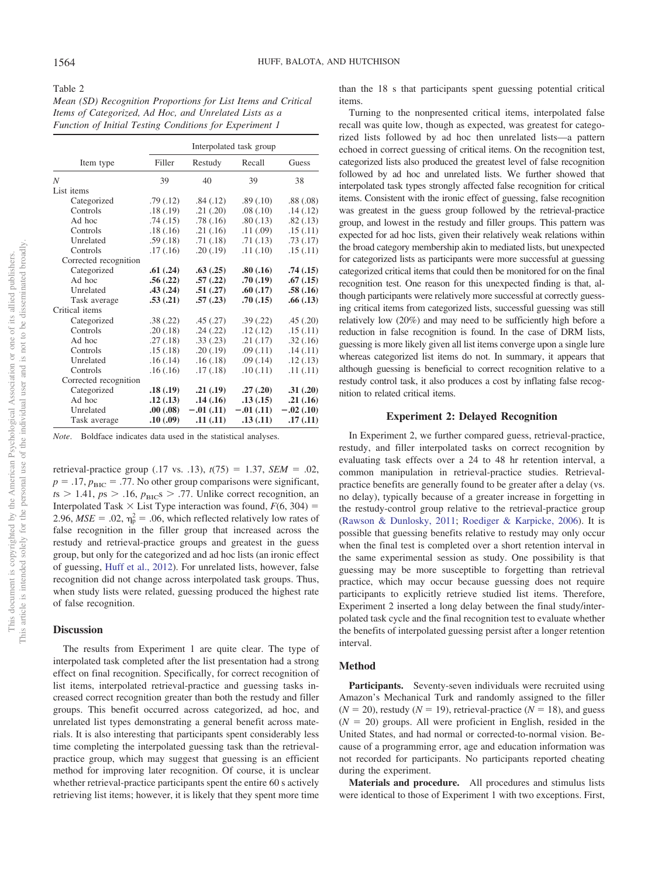<span id="page-5-0"></span>

| Mean (SD) Recognition Proportions for List Items and Critical |
|---------------------------------------------------------------|
| Items of Categorized, Ad Hoc, and Unrelated Lists as a        |
| Function of Initial Testing Conditions for Experiment 1       |

|                       | Interpolated task group |             |             |             |
|-----------------------|-------------------------|-------------|-------------|-------------|
| Item type             | Filler                  | Restudy     | Recall      | Guess       |
| $\boldsymbol{N}$      | 39                      | 40          | 39          | 38          |
| List items            |                         |             |             |             |
| Categorized           | .79(.12)                | .84(.12)    | .89(.10)    | .88(.08)    |
| Controls              | .18(.19)                | .21(.20)    | .08(.10)    | .14(.12)    |
| Ad hoc                | .74(.15)                | .78(.16)    | .80(.13)    | .82(.13)    |
| Controls              | .18(.16)                | .21(.16)    | .11(.09)    | .15(0.11)   |
| Unrelated             | .59(.18)                | .71(.18)    | .71(.13)    | .73(.17)    |
| Controls              | .17(0.16)               | .20(.19)    | .11(.10)    | .15(0.11)   |
| Corrected recognition |                         |             |             |             |
| Categorized           | .61(.24)                | .63(.25)    | .80(.16)    | .74(.15)    |
| Ad hoc                | .56(.22)                | .57(.22)    | .70(.19)    | .67(.15)    |
| Unrelated             | .43(.24)                | .51(.27)    | .60(.17)    | .58(.16)    |
| Task average          | .53(.21)                | .57(.23)    | .70(0.15)   | .66(.13)    |
| Critical items        |                         |             |             |             |
| Categorized           | .38(.22)                | .45(.27)    | .39(.22)    | .45(.20)    |
| Controls              | .20(.18)                | .24(.22)    | .12(.12)    | .15(0.11)   |
| Ad hoc                | .27(.18)                | .33(.23)    | .21(.17)    | .32(.16)    |
| Controls              | .15(.18)                | .20(.19)    | .09(.11)    | .14(.11)    |
| Unrelated             | .16(.14)                | .16(.18)    | .09(0.14)   | .12(0.13)   |
| Controls              | .16(0.16)               | .17(0.18)   | .10(0.11)   | .11(.11)    |
| Corrected recognition |                         |             |             |             |
| Categorized           | .18(.19)                | .21(.19)    | .27(.20)    | .31(.20)    |
| Ad hoc                | .12(.13)                | .14(.16)    | .13(.15)    | .21(.16)    |
| Unrelated             | .00(.08)                | $-.01(.11)$ | $-.01(.11)$ | $-.02(.10)$ |
| Task average          | .10(.09)                | .11(.11)    | .13(.11)    | .17(.11)    |

*Note*. Boldface indicates data used in the statistical analyses.

retrieval-practice group  $(.17 \text{ vs. } .13)$ ,  $t(75) = 1.37$ , *SEM* = .02,  $p = .17$ ,  $p_{\text{BIC}} = .77$ . No other group comparisons were significant,  $t s > 1.41$ ,  $p s > .16$ ,  $p_{BIC} s > .77$ . Unlike correct recognition, an Interpolated Task  $\times$  List Type interaction was found,  $F(6, 304) =$ 2.96,  $MSE = .02$ ,  $\eta_p^2 = .06$ , which reflected relatively low rates of false recognition in the filler group that increased across the restudy and retrieval-practice groups and greatest in the guess group, but only for the categorized and ad hoc lists (an ironic effect of guessing, [Huff et al., 2012\)](#page-12-15). For unrelated lists, however, false recognition did not change across interpolated task groups. Thus, when study lists were related, guessing produced the highest rate of false recognition.

### **Discussion**

The results from Experiment 1 are quite clear. The type of interpolated task completed after the list presentation had a strong effect on final recognition. Specifically, for correct recognition of list items, interpolated retrieval-practice and guessing tasks increased correct recognition greater than both the restudy and filler groups. This benefit occurred across categorized, ad hoc, and unrelated list types demonstrating a general benefit across materials. It is also interesting that participants spent considerably less time completing the interpolated guessing task than the retrievalpractice group, which may suggest that guessing is an efficient method for improving later recognition. Of course, it is unclear whether retrieval-practice participants spent the entire 60 s actively retrieving list items; however, it is likely that they spent more time than the 18 s that participants spent guessing potential critical items.

Turning to the nonpresented critical items, interpolated false recall was quite low, though as expected, was greatest for categorized lists followed by ad hoc then unrelated lists—a pattern echoed in correct guessing of critical items. On the recognition test, categorized lists also produced the greatest level of false recognition followed by ad hoc and unrelated lists. We further showed that interpolated task types strongly affected false recognition for critical items. Consistent with the ironic effect of guessing, false recognition was greatest in the guess group followed by the retrieval-practice group, and lowest in the restudy and filler groups. This pattern was expected for ad hoc lists, given their relatively weak relations within the broad category membership akin to mediated lists, but unexpected for categorized lists as participants were more successful at guessing categorized critical items that could then be monitored for on the final recognition test. One reason for this unexpected finding is that, although participants were relatively more successful at correctly guessing critical items from categorized lists, successful guessing was still relatively low (20%) and may need to be sufficiently high before a reduction in false recognition is found. In the case of DRM lists, guessing is more likely given all list items converge upon a single lure whereas categorized list items do not. In summary, it appears that although guessing is beneficial to correct recognition relative to a restudy control task, it also produces a cost by inflating false recognition to related critical items.

## **Experiment 2: Delayed Recognition**

In Experiment 2, we further compared guess, retrieval-practice, restudy, and filler interpolated tasks on correct recognition by evaluating task effects over a 24 to 48 hr retention interval, a common manipulation in retrieval-practice studies. Retrievalpractice benefits are generally found to be greater after a delay (vs. no delay), typically because of a greater increase in forgetting in the restudy-control group relative to the retrieval-practice group [\(Rawson & Dunlosky, 2011;](#page-13-2) [Roediger & Karpicke, 2006\)](#page-13-3). It is possible that guessing benefits relative to restudy may only occur when the final test is completed over a short retention interval in the same experimental session as study. One possibility is that guessing may be more susceptible to forgetting than retrieval practice, which may occur because guessing does not require participants to explicitly retrieve studied list items. Therefore, Experiment 2 inserted a long delay between the final study/interpolated task cycle and the final recognition test to evaluate whether the benefits of interpolated guessing persist after a longer retention interval.

#### **Method**

Participants. Seventy-seven individuals were recruited using Amazon's Mechanical Turk and randomly assigned to the filler  $(N = 20)$ , restudy  $(N = 19)$ , retrieval-practice  $(N = 18)$ , and guess  $(N = 20)$  groups. All were proficient in English, resided in the United States, and had normal or corrected-to-normal vision. Because of a programming error, age and education information was not recorded for participants. No participants reported cheating during the experiment.

**Materials and procedure.** All procedures and stimulus lists were identical to those of Experiment 1 with two exceptions. First,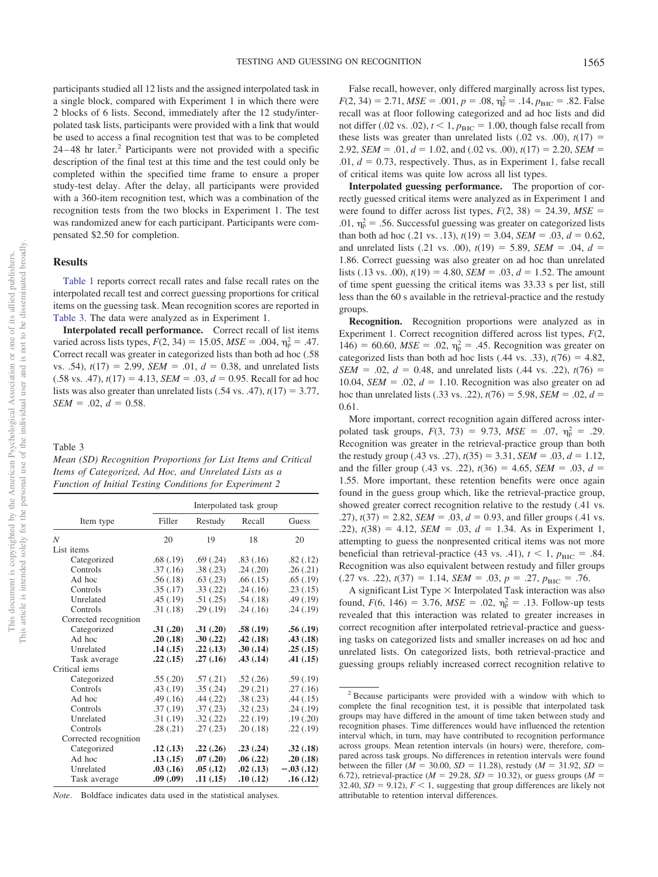participants studied all 12 lists and the assigned interpolated task in a single block, compared with Experiment 1 in which there were 2 blocks of 6 lists. Second, immediately after the 12 study/interpolated task lists, participants were provided with a link that would be used to access a final recognition test that was to be completed  $24 - 48$  hr later.<sup>2</sup> Participants were not provided with a specific description of the final test at this time and the test could only be completed within the specified time frame to ensure a proper study-test delay. After the delay, all participants were provided with a 360-item recognition test, which was a combination of the recognition tests from the two blocks in Experiment 1. The test was randomized anew for each participant. Participants were compensated \$2.50 for completion.

#### **Results**

[Table 1](#page-4-0) reports correct recall rates and false recall rates on the interpolated recall test and correct guessing proportions for critical items on the guessing task. Mean recognition scores are reported in [Table 3.](#page-6-0) The data were analyzed as in Experiment 1.

**Interpolated recall performance.** Correct recall of list items varied across lists types,  $F(2, 34) = 15.05$ ,  $MSE = .004$ ,  $\eta_p^2 = .47$ . Correct recall was greater in categorized lists than both ad hoc (.58 vs. .54),  $t(17) = 2.99$ , *SEM* = .01,  $d = 0.38$ , and unrelated lists  $(.58 \text{ vs. } .47)$ ,  $t(17) = 4.13$ ,  $SEM = .03$ ,  $d = 0.95$ . Recall for ad hoc lists was also greater than unrelated lists  $(.54 \text{ vs. } .47)$ ,  $t(17) = 3.77$ ,  $SEM = .02, d = 0.58.$ 

#### <span id="page-6-0"></span>Table 3

| Mean (SD) Recognition Proportions for List Items and Critical  |
|----------------------------------------------------------------|
| Items of Categorized, Ad Hoc, and Unrelated Lists as a         |
| <b>Function of Initial Testing Conditions for Experiment 2</b> |

|                       | Interpolated task group |          |           |             |
|-----------------------|-------------------------|----------|-----------|-------------|
| Item type             | Filler                  | Restudy  | Recall    | Guess       |
| $\overline{N}$        | 20                      | 19       | 18        | 20          |
| List items            |                         |          |           |             |
| Categorized           | .68(.19)                | .69(.24) | .83(.16)  | .82(.12)    |
| Controls              | .37(.16)                | .38(.23) | .24(.20)  | .26(.21)    |
| Ad hoc                | .56(.18)                | .63(.23) | .66(0.15) | .65(.19)    |
| Controls              | .35(.17)                | .33(.22) | .24(.16)  | .23(.15)    |
| Unrelated             | .45(.19)                | .51(.25) | .54(.18)  | .49(.19)    |
| Controls              | .31(.18)                | .29(.19) | .24(.16)  | .24(.19)    |
| Corrected recognition |                         |          |           |             |
| Categorized           | .31(.20)                | .31(.20) | .58(.19)  | .56(.19)    |
| Ad hoc                | .20(.18)                | .30(.22) | .42(.18)  | .43(.18)    |
| Unrelated             | .14(.15)                | .22(.13) | .30(.14)  | .25(.15)    |
| Task average          | .22(.15)                | .27(.16) | .43(.14)  | .41(.15)    |
| Critical iems         |                         |          |           |             |
| Categorized           | .55(.20)                | .57(.21) | .52(.26)  | .59(.19)    |
| Controls              | .43(.19)                | .35(.24) | .29(.21)  | .27(0.16)   |
| Ad hoc                | .49(.16)                | .44(.22) | .38(.23)  | .44(.15)    |
| Controls              | .37(.19)                | .37(.23) | .32(.23)  | .24(.19)    |
| Unrelated             | .31(.19)                | .32(.22) | .22(.19)  | .19(0.20)   |
| Controls              | .28(.21)                | .27(.23) | .20(.18)  | .22(.19)    |
| Corrected recognition |                         |          |           |             |
| Categorized           | .12(.13)                | .22(.26) | .23(.24)  | .32(.18)    |
| Ad hoc                | .13(.15)                | .07(.20) | .06(.22)  | .20(.18)    |
| Unrelated             | .03(.16)                | .05(.12) | .02(.13)  | $-.03(.12)$ |
| Task average          | .09(.09)                | .11(.15) | .10(.12)  | .16(.12)    |

*Note*. Boldface indicates data used in the statistical analyses.

False recall, however, only differed marginally across list types,  $F(2, 34) = 2.71, MSE = .001, p = .08, \eta_{p}^{2} = .14, p_{BIC} = .82$ . False recall was at floor following categorized and ad hoc lists and did not differ (.02 vs. .02),  $t < 1$ ,  $p_{\text{BIC}} = 1.00$ , though false recall from these lists was greater than unrelated lists  $(.02 \text{ vs. } .00)$ ,  $t(17) =$ 2.92, *SEM* = .01,  $d = 1.02$ , and (.02 vs. .00),  $t(17) = 2.20$ , *SEM* =  $.01, d = 0.73$ , respectively. Thus, as in Experiment 1, false recall of critical items was quite low across all list types.

**Interpolated guessing performance.** The proportion of correctly guessed critical items were analyzed as in Experiment 1 and were found to differ across list types,  $F(2, 38) = 24.39$ ,  $MSE =$ .01,  $\eta_p^2$  = .56. Successful guessing was greater on categorized lists than both ad hoc (.21 vs. .13),  $t(19) = 3.04$ , *SEM* = .03,  $d = 0.62$ , and unrelated lists (.21 vs. .00),  $t(19) = 5.89$ , *SEM* = .04,  $d =$ 1.86. Correct guessing was also greater on ad hoc than unrelated lists (.13 vs. .00),  $t(19) = 4.80$ ,  $SEM = .03$ ,  $d = 1.52$ . The amount of time spent guessing the critical items was 33.33 s per list, still less than the 60 s available in the retrieval-practice and the restudy groups.

**Recognition.** Recognition proportions were analyzed as in Experiment 1. Correct recognition differed across list types, *F*(2, 146) = 60.60,  $MSE = .02$ ,  $\eta_p^2 = .45$ . Recognition was greater on categorized lists than both ad hoc lists  $(.44 \text{ vs. } .33)$ ,  $t(76) = 4.82$ , *SEM* = .02,  $d = 0.48$ , and unrelated lists (.44 vs. .22),  $t(76) =$ 10.04, *SEM* = .02,  $d = 1.10$ . Recognition was also greater on ad hoc than unrelated lists (.33 vs. .22),  $t(76) = 5.98$ , *SEM* = .02,  $d =$ 0.61.

More important, correct recognition again differed across interpolated task groups,  $F(3, 73) = 9.73$ ,  $MSE = .07$ ,  $\eta_p^2 = .29$ . Recognition was greater in the retrieval-practice group than both the restudy group (.43 vs. .27),  $t(35) = 3.31$ ,  $SEM = .03$ ,  $d = 1.12$ , and the filler group (.43 vs. .22),  $t(36) = 4.65$ , *SEM* = .03,  $d =$ 1.55. More important, these retention benefits were once again found in the guess group which, like the retrieval-practice group, showed greater correct recognition relative to the restudy (.41 vs.  $(0.27)$ ,  $t(37) = 2.82$ , *SEM* =  $.03$ ,  $d = 0.93$ , and filler groups (.41 vs. .22),  $t(38) = 4.12$ , *SEM* = .03,  $d = 1.34$ . As in Experiment 1, attempting to guess the nonpresented critical items was not more beneficial than retrieval-practice (43 vs. .41),  $t < 1$ ,  $p_{\text{BIC}} = .84$ . Recognition was also equivalent between restudy and filler groups  $(.27 \text{ vs. } .22), t(37) = 1.14, \text{ SEM} = .03, p = .27, p_{\text{BIC}} = .76.$ 

A significant List Type  $\times$  Interpolated Task interaction was also found,  $F(6, 146) = 3.76$ ,  $MSE = .02$ ,  $\eta_p^2 = .13$ . Follow-up tests revealed that this interaction was related to greater increases in correct recognition after interpolated retrieval-practice and guessing tasks on categorized lists and smaller increases on ad hoc and unrelated lists. On categorized lists, both retrieval-practice and guessing groups reliably increased correct recognition relative to

<sup>2</sup> Because participants were provided with a window with which to complete the final recognition test, it is possible that interpolated task groups may have differed in the amount of time taken between study and recognition phases. Time differences would have influenced the retention interval which, in turn, may have contributed to recognition performance across groups. Mean retention intervals (in hours) were, therefore, compared across task groups. No differences in retention intervals were found between the filler ( $M = 30.00$ ,  $SD = 11.28$ ), restudy ( $M = 31.92$ ,  $SD =$ 6.72), retrieval-practice ( $M = 29.28$ ,  $SD = 10.32$ ), or guess groups ( $M =$ 32.40,  $SD = 9.12$ ),  $F < 1$ , suggesting that group differences are likely not attributable to retention interval differences.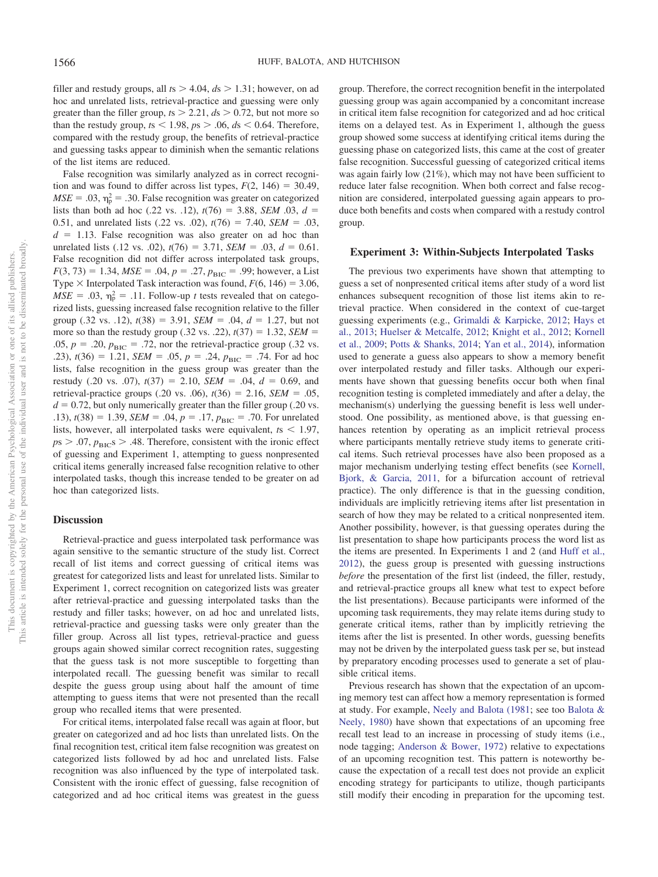filler and restudy groups, all  $ts > 4.04$ ,  $ds > 1.31$ ; however, on ad hoc and unrelated lists, retrieval-practice and guessing were only greater than the filler group,  $ts > 2.21$ ,  $ds > 0.72$ , but not more so than the restudy group,  $ts < 1.98$ ,  $ps > .06$ ,  $ds < 0.64$ . Therefore, compared with the restudy group, the benefits of retrieval-practice and guessing tasks appear to diminish when the semantic relations of the list items are reduced.

False recognition was similarly analyzed as in correct recognition and was found to differ across list types,  $F(2, 146) = 30.49$ ,  $MSE = .03$ ,  $\eta_p^2 = .30$ . False recognition was greater on categorized lists than both ad hoc (.22 vs. .12),  $t(76) = 3.88$ , *SEM* .03,  $d =$ 0.51, and unrelated lists (.22 vs. .02),  $t(76) = 7.40$ , *SEM* = .03,  $d = 1.13$ . False recognition was also greater on ad hoc than unrelated lists (.12 vs. .02),  $t(76) = 3.71$ , *SEM* = .03,  $d = 0.61$ . False recognition did not differ across interpolated task groups,  $F(3, 73) = 1.34, MSE = .04, p = .27, p_{BIC} = .99$ ; however, a List Type  $\times$  Interpolated Task interaction was found,  $F(6, 146) = 3.06$ ,  $MSE = .03$ ,  $\eta_p^2 = .11$ . Follow-up *t* tests revealed that on categorized lists, guessing increased false recognition relative to the filler group (.32 vs. .12),  $t(38) = 3.91$ ,  $SEM = .04$ ,  $d = 1.27$ , but not more so than the restudy group (.32 vs. .22),  $t(37) = 1.32$ , *SEM* = .05,  $p = .20$ ,  $p_{\text{BIC}} = .72$ , nor the retrieval-practice group (.32 vs. .23),  $t(36) = 1.21$ ,  $SEM = .05$ ,  $p = .24$ ,  $p_{BIC} = .74$ . For ad hoc lists, false recognition in the guess group was greater than the restudy (.20 vs. .07),  $t(37) = 2.10$ ,  $SEM = .04$ ,  $d = 0.69$ , and retrieval-practice groups (.20 vs. .06),  $t(36) = 2.16$ , *SEM* = .05,  $d = 0.72$ , but only numerically greater than the filler group (.20 vs. .13),  $t(38) = 1.39$ , *SEM* = .04,  $p = .17$ ,  $p_{\text{BIC}} = .70$ . For unrelated lists, however, all interpolated tasks were equivalent,  $t_s < 1.97$ ,  $p_s$  > .07,  $p_{BIC}$ s > .48. Therefore, consistent with the ironic effect of guessing and Experiment 1, attempting to guess nonpresented critical items generally increased false recognition relative to other interpolated tasks, though this increase tended to be greater on ad hoc than categorized lists.

#### **Discussion**

Retrieval-practice and guess interpolated task performance was again sensitive to the semantic structure of the study list. Correct recall of list items and correct guessing of critical items was greatest for categorized lists and least for unrelated lists. Similar to Experiment 1, correct recognition on categorized lists was greater after retrieval-practice and guessing interpolated tasks than the restudy and filler tasks; however, on ad hoc and unrelated lists, retrieval-practice and guessing tasks were only greater than the filler group. Across all list types, retrieval-practice and guess groups again showed similar correct recognition rates, suggesting that the guess task is not more susceptible to forgetting than interpolated recall. The guessing benefit was similar to recall despite the guess group using about half the amount of time attempting to guess items that were not presented than the recall group who recalled items that were presented.

For critical items, interpolated false recall was again at floor, but greater on categorized and ad hoc lists than unrelated lists. On the final recognition test, critical item false recognition was greatest on categorized lists followed by ad hoc and unrelated lists. False recognition was also influenced by the type of interpolated task. Consistent with the ironic effect of guessing, false recognition of categorized and ad hoc critical items was greatest in the guess group. Therefore, the correct recognition benefit in the interpolated guessing group was again accompanied by a concomitant increase in critical item false recognition for categorized and ad hoc critical items on a delayed test. As in Experiment 1, although the guess group showed some success at identifying critical items during the guessing phase on categorized lists, this came at the cost of greater false recognition. Successful guessing of categorized critical items was again fairly low (21%), which may not have been sufficient to reduce later false recognition. When both correct and false recognition are considered, interpolated guessing again appears to produce both benefits and costs when compared with a restudy control group.

## **Experiment 3: Within-Subjects Interpolated Tasks**

The previous two experiments have shown that attempting to guess a set of nonpresented critical items after study of a word list enhances subsequent recognition of those list items akin to retrieval practice. When considered in the context of cue-target guessing experiments (e.g., [Grimaldi & Karpicke, 2012;](#page-12-11) [Hays et](#page-12-13) [al., 2013;](#page-12-13) [Huelser & Metcalfe, 2012;](#page-12-12) [Knight et al., 2012;](#page-12-14) [Kornell](#page-13-15) [et al., 2009;](#page-13-15) [Potts & Shanks, 2014;](#page-13-18) [Yan et al., 2014\)](#page-13-16), information used to generate a guess also appears to show a memory benefit over interpolated restudy and filler tasks. Although our experiments have shown that guessing benefits occur both when final recognition testing is completed immediately and after a delay, the mechanism(s) underlying the guessing benefit is less well understood. One possibility, as mentioned above, is that guessing enhances retention by operating as an implicit retrieval process where participants mentally retrieve study items to generate critical items. Such retrieval processes have also been proposed as a major mechanism underlying testing effect benefits (see [Kornell,](#page-13-28) [Bjork, & Garcia, 2011,](#page-13-28) for a bifurcation account of retrieval practice). The only difference is that in the guessing condition, individuals are implicitly retrieving items after list presentation in search of how they may be related to a critical nonpresented item. Another possibility, however, is that guessing operates during the list presentation to shape how participants process the word list as the items are presented. In Experiments 1 and 2 (and [Huff et al.,](#page-12-15) [2012\)](#page-12-15), the guess group is presented with guessing instructions *before* the presentation of the first list (indeed, the filler, restudy, and retrieval-practice groups all knew what test to expect before the list presentations). Because participants were informed of the upcoming task requirements, they may relate items during study to generate critical items, rather than by implicitly retrieving the items after the list is presented. In other words, guessing benefits may not be driven by the interpolated guess task per se, but instead by preparatory encoding processes used to generate a set of plausible critical items.

Previous research has shown that the expectation of an upcoming memory test can affect how a memory representation is formed at study. For example, [Neely and Balota \(1981;](#page-13-29) see too [Balota &](#page-12-26) [Neely, 1980\)](#page-12-26) have shown that expectations of an upcoming free recall test lead to an increase in processing of study items (i.e., node tagging; [Anderson & Bower, 1972\)](#page-12-27) relative to expectations of an upcoming recognition test. This pattern is noteworthy because the expectation of a recall test does not provide an explicit encoding strategy for participants to utilize, though participants still modify their encoding in preparation for the upcoming test.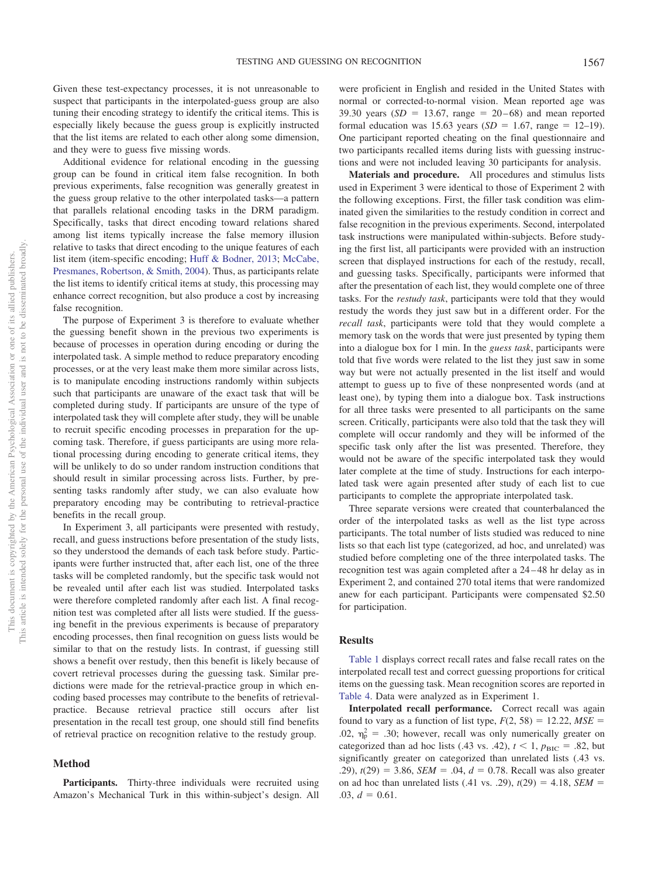Given these test-expectancy processes, it is not unreasonable to suspect that participants in the interpolated-guess group are also tuning their encoding strategy to identify the critical items. This is especially likely because the guess group is explicitly instructed that the list items are related to each other along some dimension, and they were to guess five missing words.

Additional evidence for relational encoding in the guessing group can be found in critical item false recognition. In both previous experiments, false recognition was generally greatest in the guess group relative to the other interpolated tasks—a pattern that parallels relational encoding tasks in the DRM paradigm. Specifically, tasks that direct encoding toward relations shared among list items typically increase the false memory illusion relative to tasks that direct encoding to the unique features of each list item (item-specific encoding; [Huff & Bodner, 2013;](#page-12-28) [McCabe,](#page-13-30) [Presmanes, Robertson, & Smith, 2004\)](#page-13-30). Thus, as participants relate the list items to identify critical items at study, this processing may enhance correct recognition, but also produce a cost by increasing false recognition.

The purpose of Experiment 3 is therefore to evaluate whether the guessing benefit shown in the previous two experiments is because of processes in operation during encoding or during the interpolated task. A simple method to reduce preparatory encoding processes, or at the very least make them more similar across lists, is to manipulate encoding instructions randomly within subjects such that participants are unaware of the exact task that will be completed during study. If participants are unsure of the type of interpolated task they will complete after study, they will be unable to recruit specific encoding processes in preparation for the upcoming task. Therefore, if guess participants are using more relational processing during encoding to generate critical items, they will be unlikely to do so under random instruction conditions that should result in similar processing across lists. Further, by presenting tasks randomly after study, we can also evaluate how preparatory encoding may be contributing to retrieval-practice benefits in the recall group.

In Experiment 3, all participants were presented with restudy, recall, and guess instructions before presentation of the study lists, so they understood the demands of each task before study. Participants were further instructed that, after each list, one of the three tasks will be completed randomly, but the specific task would not be revealed until after each list was studied. Interpolated tasks were therefore completed randomly after each list. A final recognition test was completed after all lists were studied. If the guessing benefit in the previous experiments is because of preparatory encoding processes, then final recognition on guess lists would be similar to that on the restudy lists. In contrast, if guessing still shows a benefit over restudy, then this benefit is likely because of covert retrieval processes during the guessing task. Similar predictions were made for the retrieval-practice group in which encoding based processes may contribute to the benefits of retrievalpractice. Because retrieval practice still occurs after list presentation in the recall test group, one should still find benefits of retrieval practice on recognition relative to the restudy group.

## **Method**

**Participants.** Thirty-three individuals were recruited using Amazon's Mechanical Turk in this within-subject's design. All

were proficient in English and resided in the United States with normal or corrected-to-normal vision. Mean reported age was 39.30 years  $(SD = 13.67, \text{ range} = 20 - 68)$  and mean reported formal education was  $15.63$  years  $(SD = 1.67, \text{ range} = 12{\text -}19)$ . One participant reported cheating on the final questionnaire and two participants recalled items during lists with guessing instructions and were not included leaving 30 participants for analysis.

**Materials and procedure.** All procedures and stimulus lists used in Experiment 3 were identical to those of Experiment 2 with the following exceptions. First, the filler task condition was eliminated given the similarities to the restudy condition in correct and false recognition in the previous experiments. Second, interpolated task instructions were manipulated within-subjects. Before studying the first list, all participants were provided with an instruction screen that displayed instructions for each of the restudy, recall, and guessing tasks. Specifically, participants were informed that after the presentation of each list, they would complete one of three tasks. For the *restudy task*, participants were told that they would restudy the words they just saw but in a different order. For the *recall task*, participants were told that they would complete a memory task on the words that were just presented by typing them into a dialogue box for 1 min. In the *guess task*, participants were told that five words were related to the list they just saw in some way but were not actually presented in the list itself and would attempt to guess up to five of these nonpresented words (and at least one), by typing them into a dialogue box. Task instructions for all three tasks were presented to all participants on the same screen. Critically, participants were also told that the task they will complete will occur randomly and they will be informed of the specific task only after the list was presented. Therefore, they would not be aware of the specific interpolated task they would later complete at the time of study. Instructions for each interpolated task were again presented after study of each list to cue participants to complete the appropriate interpolated task.

Three separate versions were created that counterbalanced the order of the interpolated tasks as well as the list type across participants. The total number of lists studied was reduced to nine lists so that each list type (categorized, ad hoc, and unrelated) was studied before completing one of the three interpolated tasks. The recognition test was again completed after a 24 – 48 hr delay as in Experiment 2, and contained 270 total items that were randomized anew for each participant. Participants were compensated \$2.50 for participation.

## **Results**

[Table 1](#page-4-0) displays correct recall rates and false recall rates on the interpolated recall test and correct guessing proportions for critical items on the guessing task. Mean recognition scores are reported in [Table 4.](#page-9-0) Data were analyzed as in Experiment 1.

**Interpolated recall performance.** Correct recall was again found to vary as a function of list type,  $F(2, 58) = 12.22$ ,  $MSE =$ .02,  $\eta_{\rm p}^2$  = .30; however, recall was only numerically greater on categorized than ad hoc lists (.43 vs. .42),  $t < 1$ ,  $p_{\text{BIC}} = .82$ , but significantly greater on categorized than unrelated lists (.43 vs. .29),  $t(29) = 3.86$ , *SEM* = .04,  $d = 0.78$ . Recall was also greater on ad hoc than unrelated lists  $(.41 \text{ vs. } .29)$ ,  $t(29) = 4.18$ , *SEM* =  $.03, d = 0.61.$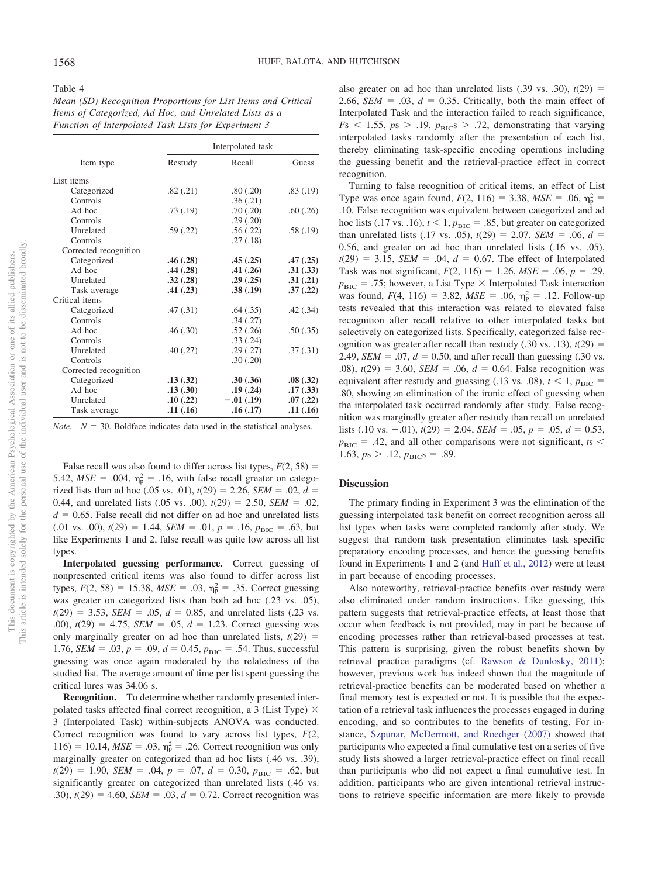<span id="page-9-0"></span>*Mean (SD) Recognition Proportions for List Items and Critical Items of Categorized, Ad Hoc, and Unrelated Lists as a Function of Interpolated Task Lists for Experiment 3*

|                       | Interpolated task |             |          |  |
|-----------------------|-------------------|-------------|----------|--|
| Item type             | Restudy           | Recall      | Guess    |  |
| List items            |                   |             |          |  |
| Categorized           | .82(.21)          | .80(.20)    | .83(.19) |  |
| Controls              |                   | .36(.21)    |          |  |
| Ad hoc                | .73(.19)          | .70(.20)    | .60(.26) |  |
| Controls              |                   | .29(.20)    |          |  |
| Unrelated             | .59(.22)          | .56(.22)    | .58(.19) |  |
| Controls              |                   | .27(.18)    |          |  |
| Corrected recognition |                   |             |          |  |
| Categorized           | .46(.28)          | .45(.25)    | .47(.25) |  |
| Ad hoc                | .44(.28)          | .41(.26)    | .31(.33) |  |
| Unrelated             | .32(.28)          | .29(.25)    | .31(.21) |  |
| Task average          | .41(.23)          | .38(.19)    | .37(.22) |  |
| Critical items        |                   |             |          |  |
| Categorized           | .47(.31)          | .64(.35)    | .42(.34) |  |
| Controls              |                   | .34(.27)    |          |  |
| Ad hoc                | .46(.30)          | .52(.26)    | .50(.35) |  |
| Controls              |                   | .33(.24)    |          |  |
| Unrelated             | .40(.27)          | .29(.27)    | .37(.31) |  |
| Controls              |                   | .30(.20)    |          |  |
| Corrected recognition |                   |             |          |  |
| Categorized           | .13(.32)          | .30(.36)    | .08(.32) |  |
| Ad hoc                | .13(.30)          | .19(.24)    | .17(.33) |  |
| Unrelated             | .10(.22)          | $-.01(.19)$ | .07(.22) |  |
| Task average          | .11(.16)          | .16(.17)    | .11(.16) |  |

*Note.*  $N = 30$ . Boldface indicates data used in the statistical analyses.

False recall was also found to differ across list types,  $F(2, 58) =$ 5.42,  $MSE = .004$ ,  $\eta_p^2 = .16$ , with false recall greater on categorized lists than ad hoc (.05 vs. .01),  $t(29) = 2.26$ , *SEM* = .02,  $d =$ 0.44, and unrelated lists  $(.05 \text{ vs. } .00)$ ,  $t(29) = 2.50$ , *SEM* = .02,  $d = 0.65$ . False recall did not differ on ad hoc and unrelated lists  $(0.01 \text{ vs. } 0.0), t(29) = 1.44, \text{ SEM} = 0.01, p = 0.16, p_{\text{BIC}} = 0.63, \text{ but}$ like Experiments 1 and 2, false recall was quite low across all list types.

**Interpolated guessing performance.** Correct guessing of nonpresented critical items was also found to differ across list types,  $F(2, 58) = 15.38$ ,  $MSE = .03$ ,  $\eta_p^2 = .35$ . Correct guessing was greater on categorized lists than both ad hoc (.23 vs. .05),  $t(29) = 3.53$ , *SEM* = .05,  $d = 0.85$ , and unrelated lists (.23 vs. .00),  $t(29) = 4.75$ ,  $SEM = .05$ ,  $d = 1.23$ . Correct guessing was only marginally greater on ad hoc than unrelated lists,  $t(29)$  = 1.76, *SEM* = .03,  $p = .09$ ,  $d = 0.45$ ,  $p_{\text{BIC}} = .54$ . Thus, successful guessing was once again moderated by the relatedness of the studied list. The average amount of time per list spent guessing the critical lures was 34.06 s.

**Recognition.** To determine whether randomly presented interpolated tasks affected final correct recognition, a 3 (List Type)  $\times$ 3 (Interpolated Task) within-subjects ANOVA was conducted. Correct recognition was found to vary across list types, *F*(2,  $116$ ) = 10.14,  $MSE = .03$ ,  $\eta_p^2 = .26$ . Correct recognition was only marginally greater on categorized than ad hoc lists (.46 vs. .39),  $t(29) = 1.90$ , *SEM* = .04,  $p = .07$ ,  $d = 0.30$ ,  $p_{BIC} = .62$ , but significantly greater on categorized than unrelated lists (.46 vs. .30),  $t(29) = 4.60$ ,  $SEM = .03$ ,  $d = 0.72$ . Correct recognition was

also greater on ad hoc than unrelated lists  $(.39 \text{ vs. } .30)$ ,  $t(29) =$ 2.66, *SEM* = .03,  $d = 0.35$ . Critically, both the main effect of Interpolated Task and the interaction failed to reach significance,  $F<sub>S</sub>$  < 1.55,  $p<sub>S</sub>$  > .19,  $p<sub>BIC</sub>$ s > .72, demonstrating that varying interpolated tasks randomly after the presentation of each list, thereby eliminating task-specific encoding operations including the guessing benefit and the retrieval-practice effect in correct recognition.

Turning to false recognition of critical items, an effect of List Type was once again found,  $F(2, 116) = 3.38$ ,  $MSE = .06$ ,  $\eta_p^2 =$ .10. False recognition was equivalent between categorized and ad hoc lists (.17 vs. .16),  $t < 1$ ,  $p_{\text{BIC}} = .85$ , but greater on categorized than unrelated lists (.17 vs. .05),  $t(29) = 2.07$ , *SEM* = .06,  $d =$ 0.56, and greater on ad hoc than unrelated lists (.16 vs. .05),  $t(29) = 3.15$ , *SEM* = .04,  $d = 0.67$ . The effect of Interpolated Task was not significant,  $F(2, 116) = 1.26$ ,  $MSE = .06$ ,  $p = .29$ ,  $p_{\text{BIC}} = .75$ ; however, a List Type  $\times$  Interpolated Task interaction was found,  $F(4, 116) = 3.82$ ,  $MSE = .06$ ,  $\eta_p^2 = .12$ . Follow-up tests revealed that this interaction was related to elevated false recognition after recall relative to other interpolated tasks but selectively on categorized lists. Specifically, categorized false recognition was greater after recall than restudy  $(.30 \text{ vs. } .13)$ ,  $t(29) =$ 2.49, *SEM* = .07,  $d = 0.50$ , and after recall than guessing (.30 vs. .08),  $t(29) = 3.60$ ,  $SEM = .06$ ,  $d = 0.64$ . False recognition was equivalent after restudy and guessing (.13 vs. .08),  $t < 1$ ,  $p_{\text{BIC}} =$ .80, showing an elimination of the ironic effect of guessing when the interpolated task occurred randomly after study. False recognition was marginally greater after restudy than recall on unrelated lists (.10 vs.  $-.01$ ),  $t(29) = 2.04$ , *SEM* = .05,  $p = .05$ ,  $d = 0.53$ ,  $p_{\text{BIC}}$  = .42, and all other comparisons were not significant, *ts* < 1.63,  $p_s > .12$ ,  $p_{BIC}$ s = .89.

## **Discussion**

The primary finding in Experiment 3 was the elimination of the guessing interpolated task benefit on correct recognition across all list types when tasks were completed randomly after study. We suggest that random task presentation eliminates task specific preparatory encoding processes, and hence the guessing benefits found in Experiments 1 and 2 (and [Huff et al., 2012\)](#page-12-15) were at least in part because of encoding processes.

Also noteworthy, retrieval-practice benefits over restudy were also eliminated under random instructions. Like guessing, this pattern suggests that retrieval-practice effects, at least those that occur when feedback is not provided, may in part be because of encoding processes rather than retrieval-based processes at test. This pattern is surprising, given the robust benefits shown by retrieval practice paradigms (cf. [Rawson & Dunlosky, 2011\)](#page-13-2); however, previous work has indeed shown that the magnitude of retrieval-practice benefits can be moderated based on whether a final memory test is expected or not. It is possible that the expectation of a retrieval task influences the processes engaged in during encoding, and so contributes to the benefits of testing. For instance, [Szpunar, McDermott, and Roediger \(2007\)](#page-13-31) showed that participants who expected a final cumulative test on a series of five study lists showed a larger retrieval-practice effect on final recall than participants who did not expect a final cumulative test. In addition, participants who are given intentional retrieval instructions to retrieve specific information are more likely to provide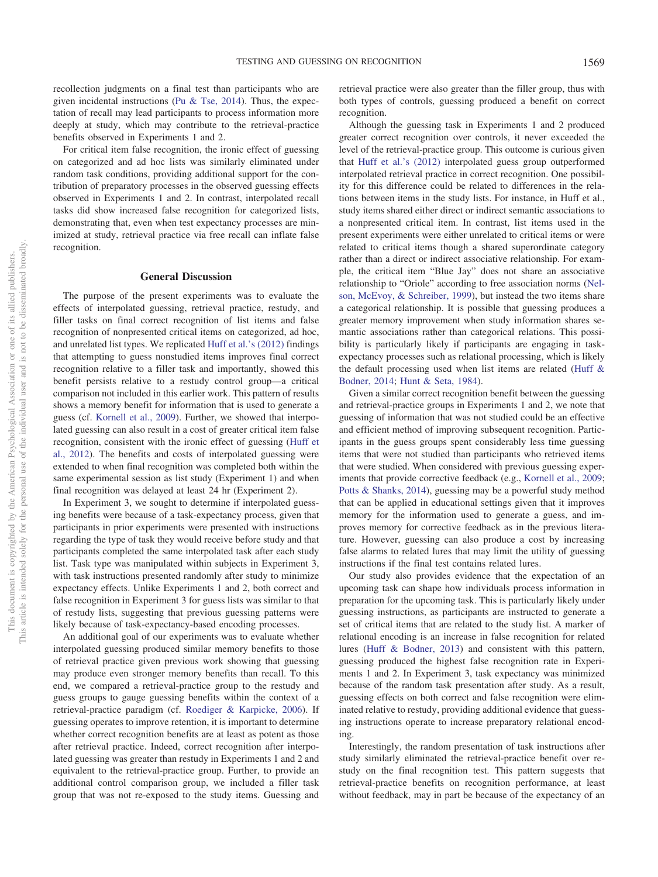recollection judgments on a final test than participants who are given incidental instructions [\(Pu & Tse, 2014\)](#page-13-32). Thus, the expectation of recall may lead participants to process information more deeply at study, which may contribute to the retrieval-practice benefits observed in Experiments 1 and 2.

For critical item false recognition, the ironic effect of guessing on categorized and ad hoc lists was similarly eliminated under random task conditions, providing additional support for the contribution of preparatory processes in the observed guessing effects observed in Experiments 1 and 2. In contrast, interpolated recall tasks did show increased false recognition for categorized lists, demonstrating that, even when test expectancy processes are minimized at study, retrieval practice via free recall can inflate false recognition.

## **General Discussion**

The purpose of the present experiments was to evaluate the effects of interpolated guessing, retrieval practice, restudy, and filler tasks on final correct recognition of list items and false recognition of nonpresented critical items on categorized, ad hoc, and unrelated list types. We replicated [Huff et al.'s \(2012\)](#page-12-15) findings that attempting to guess nonstudied items improves final correct recognition relative to a filler task and importantly, showed this benefit persists relative to a restudy control group—a critical comparison not included in this earlier work. This pattern of results shows a memory benefit for information that is used to generate a guess (cf. [Kornell et al., 2009\)](#page-13-15). Further, we showed that interpolated guessing can also result in a cost of greater critical item false recognition, consistent with the ironic effect of guessing [\(Huff et](#page-12-15) [al., 2012\)](#page-12-15). The benefits and costs of interpolated guessing were extended to when final recognition was completed both within the same experimental session as list study (Experiment 1) and when final recognition was delayed at least 24 hr (Experiment 2).

In Experiment 3, we sought to determine if interpolated guessing benefits were because of a task-expectancy process, given that participants in prior experiments were presented with instructions regarding the type of task they would receive before study and that participants completed the same interpolated task after each study list. Task type was manipulated within subjects in Experiment 3, with task instructions presented randomly after study to minimize expectancy effects. Unlike Experiments 1 and 2, both correct and false recognition in Experiment 3 for guess lists was similar to that of restudy lists, suggesting that previous guessing patterns were likely because of task-expectancy-based encoding processes.

An additional goal of our experiments was to evaluate whether interpolated guessing produced similar memory benefits to those of retrieval practice given previous work showing that guessing may produce even stronger memory benefits than recall. To this end, we compared a retrieval-practice group to the restudy and guess groups to gauge guessing benefits within the context of a retrieval-practice paradigm (cf. [Roediger & Karpicke, 2006\)](#page-13-3). If guessing operates to improve retention, it is important to determine whether correct recognition benefits are at least as potent as those after retrieval practice. Indeed, correct recognition after interpolated guessing was greater than restudy in Experiments 1 and 2 and equivalent to the retrieval-practice group. Further, to provide an additional control comparison group, we included a filler task group that was not re-exposed to the study items. Guessing and

retrieval practice were also greater than the filler group, thus with both types of controls, guessing produced a benefit on correct recognition.

Although the guessing task in Experiments 1 and 2 produced greater correct recognition over controls, it never exceeded the level of the retrieval-practice group. This outcome is curious given that [Huff et al.'s \(2012\)](#page-12-15) interpolated guess group outperformed interpolated retrieval practice in correct recognition. One possibility for this difference could be related to differences in the relations between items in the study lists. For instance, in Huff et al., study items shared either direct or indirect semantic associations to a nonpresented critical item. In contrast, list items used in the present experiments were either unrelated to critical items or were related to critical items though a shared superordinate category rather than a direct or indirect associative relationship. For example, the critical item "Blue Jay" does not share an associative relationship to "Oriole" according to free association norms [\(Nel](#page-13-33)[son, McEvoy, & Schreiber, 1999\)](#page-13-33), but instead the two items share a categorical relationship. It is possible that guessing produces a greater memory improvement when study information shares semantic associations rather than categorical relations. This possibility is particularly likely if participants are engaging in taskexpectancy processes such as relational processing, which is likely the default processing used when list items are related [\(Huff &](#page-12-19) [Bodner, 2014;](#page-12-19) [Hunt & Seta, 1984\)](#page-12-29).

Given a similar correct recognition benefit between the guessing and retrieval-practice groups in Experiments 1 and 2, we note that guessing of information that was not studied could be an effective and efficient method of improving subsequent recognition. Participants in the guess groups spent considerably less time guessing items that were not studied than participants who retrieved items that were studied. When considered with previous guessing experiments that provide corrective feedback (e.g., [Kornell et al., 2009;](#page-13-15) [Potts & Shanks, 2014\)](#page-13-18), guessing may be a powerful study method that can be applied in educational settings given that it improves memory for the information used to generate a guess, and improves memory for corrective feedback as in the previous literature. However, guessing can also produce a cost by increasing false alarms to related lures that may limit the utility of guessing instructions if the final test contains related lures.

Our study also provides evidence that the expectation of an upcoming task can shape how individuals process information in preparation for the upcoming task. This is particularly likely under guessing instructions, as participants are instructed to generate a set of critical items that are related to the study list. A marker of relational encoding is an increase in false recognition for related lures [\(Huff & Bodner, 2013\)](#page-12-28) and consistent with this pattern, guessing produced the highest false recognition rate in Experiments 1 and 2. In Experiment 3, task expectancy was minimized because of the random task presentation after study. As a result, guessing effects on both correct and false recognition were eliminated relative to restudy, providing additional evidence that guessing instructions operate to increase preparatory relational encoding.

Interestingly, the random presentation of task instructions after study similarly eliminated the retrieval-practice benefit over restudy on the final recognition test. This pattern suggests that retrieval-practice benefits on recognition performance, at least without feedback, may in part be because of the expectancy of an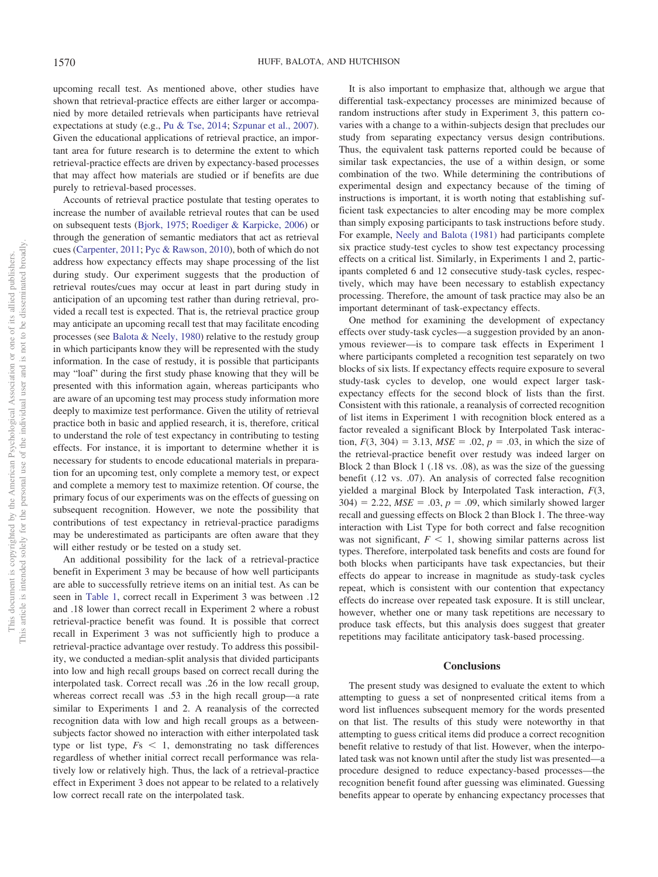upcoming recall test. As mentioned above, other studies have shown that retrieval-practice effects are either larger or accompanied by more detailed retrievals when participants have retrieval expectations at study (e.g., [Pu & Tse, 2014;](#page-13-32) [Szpunar et al., 2007\)](#page-13-31). Given the educational applications of retrieval practice, an important area for future research is to determine the extent to which retrieval-practice effects are driven by expectancy-based processes that may affect how materials are studied or if benefits are due purely to retrieval-based processes.

Accounts of retrieval practice postulate that testing operates to increase the number of available retrieval routes that can be used on subsequent tests [\(Bjork, 1975;](#page-12-30) [Roediger & Karpicke, 2006\)](#page-13-3) or through the generation of semantic mediators that act as retrieval cues [\(Carpenter, 2011;](#page-12-31) [Pyc & Rawson, 2010\)](#page-13-17), both of which do not address how expectancy effects may shape processing of the list during study. Our experiment suggests that the production of retrieval routes/cues may occur at least in part during study in anticipation of an upcoming test rather than during retrieval, provided a recall test is expected. That is, the retrieval practice group may anticipate an upcoming recall test that may facilitate encoding processes (see [Balota & Neely, 1980\)](#page-12-26) relative to the restudy group in which participants know they will be represented with the study information. In the case of restudy, it is possible that participants may "loaf" during the first study phase knowing that they will be presented with this information again, whereas participants who are aware of an upcoming test may process study information more deeply to maximize test performance. Given the utility of retrieval practice both in basic and applied research, it is, therefore, critical to understand the role of test expectancy in contributing to testing effects. For instance, it is important to determine whether it is necessary for students to encode educational materials in preparation for an upcoming test, only complete a memory test, or expect and complete a memory test to maximize retention. Of course, the primary focus of our experiments was on the effects of guessing on subsequent recognition. However, we note the possibility that contributions of test expectancy in retrieval-practice paradigms may be underestimated as participants are often aware that they will either restudy or be tested on a study set.

An additional possibility for the lack of a retrieval-practice benefit in Experiment 3 may be because of how well participants are able to successfully retrieve items on an initial test. As can be seen in [Table 1,](#page-4-0) correct recall in Experiment 3 was between .12 and .18 lower than correct recall in Experiment 2 where a robust retrieval-practice benefit was found. It is possible that correct recall in Experiment 3 was not sufficiently high to produce a retrieval-practice advantage over restudy. To address this possibility, we conducted a median-split analysis that divided participants into low and high recall groups based on correct recall during the interpolated task. Correct recall was .26 in the low recall group, whereas correct recall was .53 in the high recall group—a rate similar to Experiments 1 and 2. A reanalysis of the corrected recognition data with low and high recall groups as a betweensubjects factor showed no interaction with either interpolated task type or list type,  $Fs < 1$ , demonstrating no task differences regardless of whether initial correct recall performance was relatively low or relatively high. Thus, the lack of a retrieval-practice effect in Experiment 3 does not appear to be related to a relatively low correct recall rate on the interpolated task.

It is also important to emphasize that, although we argue that differential task-expectancy processes are minimized because of random instructions after study in Experiment 3, this pattern covaries with a change to a within-subjects design that precludes our study from separating expectancy versus design contributions. Thus, the equivalent task patterns reported could be because of similar task expectancies, the use of a within design, or some combination of the two. While determining the contributions of experimental design and expectancy because of the timing of instructions is important, it is worth noting that establishing sufficient task expectancies to alter encoding may be more complex than simply exposing participants to task instructions before study. For example, [Neely and Balota \(1981\)](#page-13-29) had participants complete six practice study-test cycles to show test expectancy processing effects on a critical list. Similarly, in Experiments 1 and 2, participants completed 6 and 12 consecutive study-task cycles, respectively, which may have been necessary to establish expectancy processing. Therefore, the amount of task practice may also be an important determinant of task-expectancy effects.

One method for examining the development of expectancy effects over study-task cycles—a suggestion provided by an anonymous reviewer—is to compare task effects in Experiment 1 where participants completed a recognition test separately on two blocks of six lists. If expectancy effects require exposure to several study-task cycles to develop, one would expect larger taskexpectancy effects for the second block of lists than the first. Consistent with this rationale, a reanalysis of corrected recognition of list items in Experiment 1 with recognition block entered as a factor revealed a significant Block by Interpolated Task interaction,  $F(3, 304) = 3.13$ ,  $MSE = 0.02$ ,  $p = 0.03$ , in which the size of the retrieval-practice benefit over restudy was indeed larger on Block 2 than Block 1 (.18 vs. .08), as was the size of the guessing benefit (.12 vs. .07). An analysis of corrected false recognition yielded a marginal Block by Interpolated Task interaction, *F*(3,  $304$ ) = 2.22,  $MSE = .03$ ,  $p = .09$ , which similarly showed larger recall and guessing effects on Block 2 than Block 1. The three-way interaction with List Type for both correct and false recognition was not significant,  $F < 1$ , showing similar patterns across list types. Therefore, interpolated task benefits and costs are found for both blocks when participants have task expectancies, but their effects do appear to increase in magnitude as study-task cycles repeat, which is consistent with our contention that expectancy effects do increase over repeated task exposure. It is still unclear, however, whether one or many task repetitions are necessary to produce task effects, but this analysis does suggest that greater repetitions may facilitate anticipatory task-based processing.

## **Conclusions**

The present study was designed to evaluate the extent to which attempting to guess a set of nonpresented critical items from a word list influences subsequent memory for the words presented on that list. The results of this study were noteworthy in that attempting to guess critical items did produce a correct recognition benefit relative to restudy of that list. However, when the interpolated task was not known until after the study list was presented—a procedure designed to reduce expectancy-based processes—the recognition benefit found after guessing was eliminated. Guessing benefits appear to operate by enhancing expectancy processes that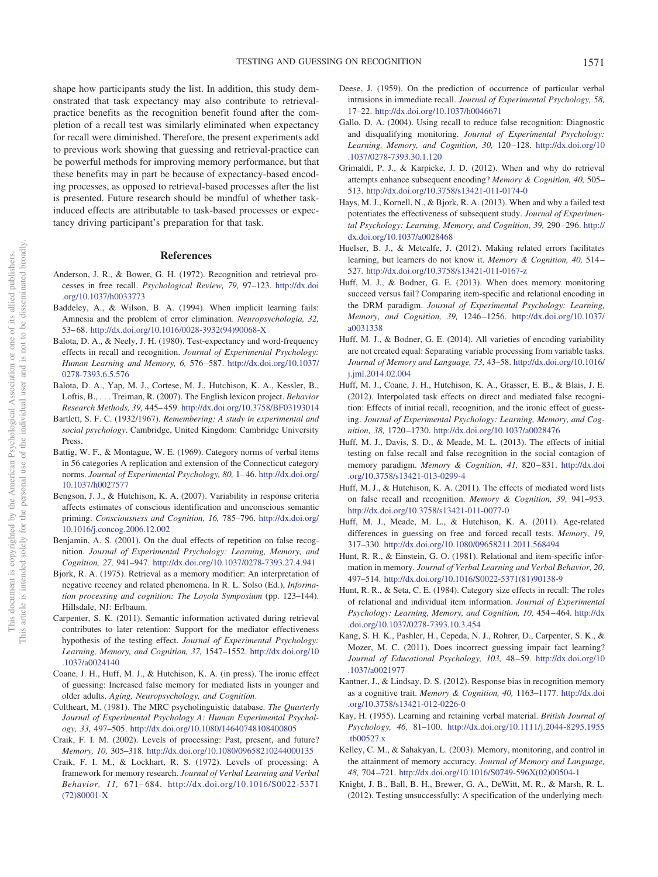shape how participants study the list. In addition, this study demonstrated that task expectancy may also contribute to retrievalpractice benefits as the recognition benefit found after the completion of a recall test was similarly eliminated when expectancy for recall were diminished. Therefore, the present experiments add to previous work showing that guessing and retrieval-practice can be powerful methods for improving memory performance, but that these benefits may in part be because of expectancy-based encoding processes, as opposed to retrieval-based processes after the list is presented. Future research should be mindful of whether taskinduced effects are attributable to task-based processes or expectancy driving participant's preparation for that task.

## **References**

- <span id="page-12-27"></span>Anderson, J. R., & Bower, G. H. (1972). Recognition and retrieval processes in free recall. *Psychological Review, 79,* 97–123. [http://dx.doi](http://dx.doi.org/10.1037/h0033773) [.org/10.1037/h0033773](http://dx.doi.org/10.1037/h0033773)
- <span id="page-12-10"></span>Baddeley, A., & Wilson, B. A. (1994). When implicit learning fails: Amnesia and the problem of error elimination. *Neuropsychologia, 32,* 53– 68. [http://dx.doi.org/10.1016/0028-3932\(94\)90068-X](http://dx.doi.org/10.1016/0028-3932%2894%2990068-X)
- <span id="page-12-26"></span>Balota, D. A., & Neely, J. H. (1980). Test-expectancy and word-frequency effects in recall and recognition. *Journal of Experimental Psychology: Human Learning and Memory, 6,* 576 –587. [http://dx.doi.org/10.1037/](http://dx.doi.org/10.1037/0278-7393.6.5.576) [0278-7393.6.5.576](http://dx.doi.org/10.1037/0278-7393.6.5.576)
- <span id="page-12-24"></span>Balota, D. A., Yap, M. J., Cortese, M. J., Hutchison, K. A., Kessler, B., Loftis, B.,... Treiman, R. (2007). The English lexicon project. *Behavior Research Methods, 39,* 445– 459. <http://dx.doi.org/10.3758/BF03193014>
- <span id="page-12-6"></span>Bartlett, S. F. C. (1932/1967). *Remembering: A study in experimental and social psychology*. Cambridge, United Kingdom: Cambridge University Press.
- <span id="page-12-23"></span>Battig, W. F., & Montague, W. E. (1969). Category norms of verbal items in 56 categories A replication and extension of the Connecticut category norms. *Journal of Experimental Psychology, 80,* 1– 46. [http://dx.doi.org/](http://dx.doi.org/10.1037/h0027577) [10.1037/h0027577](http://dx.doi.org/10.1037/h0027577)
- <span id="page-12-4"></span>Bengson, J. J., & Hutchison, K. A. (2007). Variability in response criteria affects estimates of conscious identification and unconscious semantic priming. *Consciousness and Cognition, 16,* 785–796. [http://dx.doi.org/](http://dx.doi.org/10.1016/j.concog.2006.12.002) [10.1016/j.concog.2006.12.002](http://dx.doi.org/10.1016/j.concog.2006.12.002)
- <span id="page-12-22"></span>Benjamin, A. S. (2001). On the dual effects of repetition on false recognition. *Journal of Experimental Psychology: Learning, Memory, and Cognition, 27,* 941–947. <http://dx.doi.org/10.1037/0278-7393.27.4.941>
- <span id="page-12-30"></span>Bjork, R. A. (1975). Retrieval as a memory modifier: An interpretation of negative recency and related phenomena. In R. L. Solso (Ed.), *Information processing and cognition: The Loyola Symposium* (pp. 123–144). Hillsdale, NJ: Erlbaum.
- <span id="page-12-31"></span>Carpenter, S. K. (2011). Semantic information activated during retrieval contributes to later retention: Support for the mediator effectiveness hypothesis of the testing effect. *Journal of Experimental Psychology: Learning, Memory, and Cognition, 37,* 1547–1552. [http://dx.doi.org/10](http://dx.doi.org/10.1037/a0024140) [.1037/a0024140](http://dx.doi.org/10.1037/a0024140)
- <span id="page-12-17"></span>Coane, J. H., Huff, M. J., & Hutchison, K. A. (in press). The ironic effect of guessing: Increased false memory for mediated lists in younger and older adults. *Aging, Neuropsychology, and Cognition*.
- <span id="page-12-25"></span>Coltheart, M. (1981). The MRC psycholinguistic database. *The Quarterly Journal of Experimental Psychology A: Human Experimental Psychology, 33,* 497–505. <http://dx.doi.org/10.1080/14640748108400805>
- <span id="page-12-1"></span>Craik, F. I. M. (2002). Levels of processing: Past, present, and future? *Memory, 10,* 305–318. <http://dx.doi.org/10.1080/09658210244000135>
- <span id="page-12-0"></span>Craik, F. I. M., & Lockhart, R. S. (1972). Levels of processing: A framework for memory research. *Journal of Verbal Learning and Verbal Behavior, 11,* 671– 684. [http://dx.doi.org/10.1016/S0022-5371](http://dx.doi.org/10.1016/S0022-5371%2872%2980001-X) [\(72\)80001-X](http://dx.doi.org/10.1016/S0022-5371%2872%2980001-X)
- <span id="page-12-18"></span>Deese, J. (1959). On the prediction of occurrence of particular verbal intrusions in immediate recall. *Journal of Experimental Psychology, 58,* 17–22. <http://dx.doi.org/10.1037/h0046671>
- <span id="page-12-21"></span>Gallo, D. A. (2004). Using recall to reduce false recognition: Diagnostic and disqualifying monitoring. *Journal of Experimental Psychology: Learning, Memory, and Cognition, 30,* 120 –128. [http://dx.doi.org/10](http://dx.doi.org/10.1037/0278-7393.30.1.120) [.1037/0278-7393.30.1.120](http://dx.doi.org/10.1037/0278-7393.30.1.120)
- <span id="page-12-11"></span>Grimaldi, P. J., & Karpicke, J. D. (2012). When and why do retrieval attempts enhance subsequent encoding? *Memory & Cognition, 40,* 505– 513. <http://dx.doi.org/10.3758/s13421-011-0174-0>
- <span id="page-12-13"></span>Hays, M. J., Kornell, N., & Bjork, R. A. (2013). When and why a failed test potentiates the effectiveness of subsequent study. *Journal of Experimental Psychology: Learning, Memory, and Cognition, 39,* 290 –296. [http://](http://dx.doi.org/10.1037/a0028468) [dx.doi.org/10.1037/a0028468](http://dx.doi.org/10.1037/a0028468)
- <span id="page-12-12"></span>Huelser, B. J., & Metcalfe, J. (2012). Making related errors facilitates learning, but learners do not know it. *Memory & Cognition, 40,* 514 – 527. <http://dx.doi.org/10.3758/s13421-011-0167-z>
- <span id="page-12-28"></span>Huff, M. J., & Bodner, G. E. (2013). When does memory monitoring succeed versus fail? Comparing item-specific and relational encoding in the DRM paradigm. *Journal of Experimental Psychology: Learning, Memory, and Cognition, 39,* 1246 –1256. [http://dx.doi.org/10.1037/](http://dx.doi.org/10.1037/a0031338) [a0031338](http://dx.doi.org/10.1037/a0031338)
- <span id="page-12-19"></span>Huff, M. J., & Bodner, G. E. (2014). All varieties of encoding variability are not created equal: Separating variable processing from variable tasks. *Journal of Memory and Language, 73,* 43–58. [http://dx.doi.org/10.1016/](http://dx.doi.org/10.1016/j.jml.2014.02.004) [j.jml.2014.02.004](http://dx.doi.org/10.1016/j.jml.2014.02.004)
- <span id="page-12-15"></span>Huff, M. J., Coane, J. H., Hutchison, K. A., Grasser, E. B., & Blais, J. E. (2012). Interpolated task effects on direct and mediated false recognition: Effects of initial recall, recognition, and the ironic effect of guessing. *Journal of Experimental Psychology: Learning, Memory, and Cognition, 38,* 1720 –1730. <http://dx.doi.org/10.1037/a0028476>
- <span id="page-12-7"></span>Huff, M. J., Davis, S. D., & Meade, M. L. (2013). The effects of initial testing on false recall and false recognition in the social contagion of memory paradigm. *Memory & Cognition, 41,* 820 – 831. [http://dx.doi](http://dx.doi.org/10.3758/s13421-013-0299-4) [.org/10.3758/s13421-013-0299-4](http://dx.doi.org/10.3758/s13421-013-0299-4)
- <span id="page-12-16"></span>Huff, M. J., & Hutchison, K. A. (2011). The effects of mediated word lists on false recall and recognition. *Memory & Cognition, 39,* 941–953. <http://dx.doi.org/10.3758/s13421-011-0077-0>
- <span id="page-12-2"></span>Huff, M. J., Meade, M. L., & Hutchison, K. A. (2011). Age-related differences in guessing on free and forced recall tests. *Memory, 19,* 317–330. <http://dx.doi.org/10.1080/09658211.2011.568494>
- <span id="page-12-20"></span>Hunt, R. R., & Einstein, G. O. (1981). Relational and item-specific information in memory. *Journal of Verbal Learning and Verbal Behavior, 20,* 497–514. [http://dx.doi.org/10.1016/S0022-5371\(81\)90138-9](http://dx.doi.org/10.1016/S0022-5371%2881%2990138-9)
- <span id="page-12-29"></span>Hunt, R. R., & Seta, C. E. (1984). Category size effects in recall: The roles of relational and individual item information. *Journal of Experimental Psychology: Learning, Memory, and Cognition, 10,* 454 – 464. [http://dx](http://dx.doi.org/10.1037/0278-7393.10.3.454) [.doi.org/10.1037/0278-7393.10.3.454](http://dx.doi.org/10.1037/0278-7393.10.3.454)
- <span id="page-12-8"></span>Kang, S. H. K., Pashler, H., Cepeda, N. J., Rohrer, D., Carpenter, S. K., & Mozer, M. C. (2011). Does incorrect guessing impair fact learning? *Journal of Educational Psychology, 103,* 48 –59. [http://dx.doi.org/10](http://dx.doi.org/10.1037/a0021977) [.1037/a0021977](http://dx.doi.org/10.1037/a0021977)
- <span id="page-12-5"></span>Kantner, J., & Lindsay, D. S. (2012). Response bias in recognition memory as a cognitive trait. *Memory & Cognition, 40,* 1163–1177. [http://dx.doi](http://dx.doi.org/10.3758/s13421-012-0226-0) [.org/10.3758/s13421-012-0226-0](http://dx.doi.org/10.3758/s13421-012-0226-0)
- <span id="page-12-9"></span>Kay, H. (1955). Learning and retaining verbal material. *British Journal of Psychology, 46,* 81–100. [http://dx.doi.org/10.1111/j.2044-8295.1955](http://dx.doi.org/10.1111/j.2044-8295.1955.tb00527.x) [.tb00527.x](http://dx.doi.org/10.1111/j.2044-8295.1955.tb00527.x)
- <span id="page-12-3"></span>Kelley, C. M., & Sahakyan, L. (2003). Memory, monitoring, and control in the attainment of memory accuracy. *Journal of Memory and Language, 48,* 704 –721. [http://dx.doi.org/10.1016/S0749-596X\(02\)00504-1](http://dx.doi.org/10.1016/S0749-596X%2802%2900504-1)
- <span id="page-12-14"></span>Knight, J. B., Ball, B. H., Brewer, G. A., DeWitt, M. R., & Marsh, R. L. (2012). Testing unsuccessfully: A specification of the underlying mech-